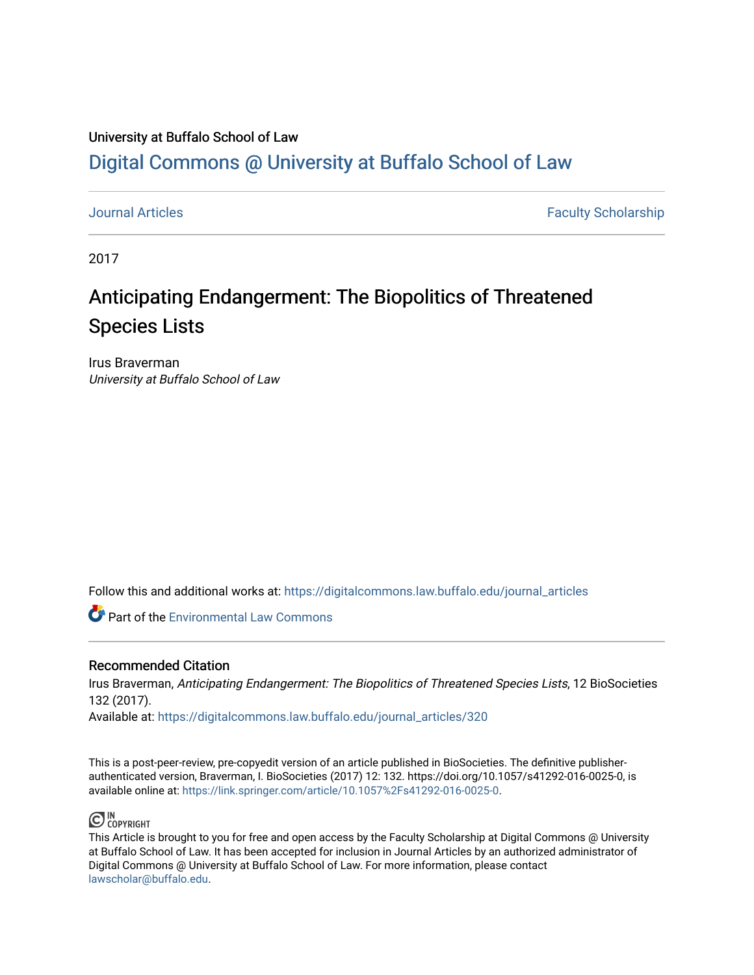## University at Buffalo School of Law [Digital Commons @ University at Buffalo School of Law](https://digitalcommons.law.buffalo.edu/)

[Journal Articles](https://digitalcommons.law.buffalo.edu/journal_articles) **Faculty Scholarship Faculty Scholarship Faculty Scholarship** 

2017

# Anticipating Endangerment: The Biopolitics of Threatened Species Lists

Irus Braverman University at Buffalo School of Law

Follow this and additional works at: [https://digitalcommons.law.buffalo.edu/journal\\_articles](https://digitalcommons.law.buffalo.edu/journal_articles?utm_source=digitalcommons.law.buffalo.edu%2Fjournal_articles%2F320&utm_medium=PDF&utm_campaign=PDFCoverPages) 

**C** Part of the [Environmental Law Commons](https://network.bepress.com/hgg/discipline/599?utm_source=digitalcommons.law.buffalo.edu%2Fjournal_articles%2F320&utm_medium=PDF&utm_campaign=PDFCoverPages)

#### Recommended Citation

Irus Braverman, Anticipating Endangerment: The Biopolitics of Threatened Species Lists, 12 BioSocieties 132 (2017).

Available at: [https://digitalcommons.law.buffalo.edu/journal\\_articles/320](https://digitalcommons.law.buffalo.edu/journal_articles/320?utm_source=digitalcommons.law.buffalo.edu%2Fjournal_articles%2F320&utm_medium=PDF&utm_campaign=PDFCoverPages)

This is a post-peer-review, pre-copyedit version of an article published in BioSocieties. The definitive publisherauthenticated version, Braverman, I. BioSocieties (2017) 12: 132. https://doi.org/10.1057/s41292-016-0025-0, is available online at:<https://link.springer.com/article/10.1057%2Fs41292-016-0025-0>.



This Article is brought to you for free and open access by the Faculty Scholarship at Digital Commons @ University at Buffalo School of Law. It has been accepted for inclusion in Journal Articles by an authorized administrator of Digital Commons @ University at Buffalo School of Law. For more information, please contact [lawscholar@buffalo.edu](mailto:lawscholar@buffalo.edu).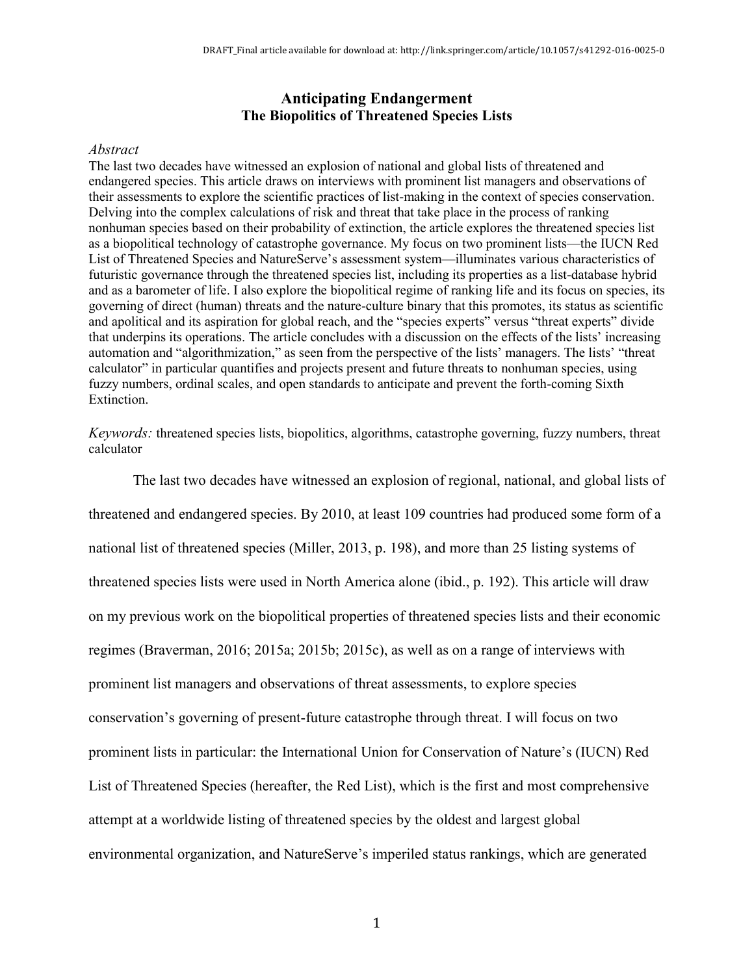#### **Anticipating Endangerment The Biopolitics of Threatened Species Lists**

#### *Abstract*

The last two decades have witnessed an explosion of national and global lists of threatened and endangered species. This article draws on interviews with prominent list managers and observations of their assessments to explore the scientific practices of list-making in the context of species conservation. Delving into the complex calculations of risk and threat that take place in the process of ranking nonhuman species based on their probability of extinction, the article explores the threatened species list as a biopolitical technology of catastrophe governance. My focus on two prominent lists—the IUCN Red List of Threatened Species and NatureServe's assessment system—illuminates various characteristics of futuristic governance through the threatened species list, including its properties as a list-database hybrid and as a barometer of life. I also explore the biopolitical regime of ranking life and its focus on species, its governing of direct (human) threats and the nature-culture binary that this promotes, its status as scientific and apolitical and its aspiration for global reach, and the "species experts" versus "threat experts" divide that underpins its operations. The article concludes with a discussion on the effects of the lists' increasing automation and "algorithmization," as seen from the perspective of the lists' managers. The lists' "threat calculator" in particular quantifies and projects present and future threats to nonhuman species, using fuzzy numbers, ordinal scales, and open standards to anticipate and prevent the forth-coming Sixth Extinction.

*Keywords:* threatened species lists, biopolitics, algorithms, catastrophe governing, fuzzy numbers, threat calculator

The last two decades have witnessed an explosion of regional, national, and global lists of threatened and endangered species. By 2010, at least 109 countries had produced some form of a national list of threatened species (Miller, 2013, p. 198), and more than 25 listing systems of threatened species lists were used in North America alone (ibid., p. 192). This article will draw on my previous work on the biopolitical properties of threatened species lists and their economic regimes (Braverman, 2016; 2015a; 2015b; 2015c), as well as on a range of interviews with prominent list managers and observations of threat assessments, to explore species conservation's governing of present-future catastrophe through threat. I will focus on two prominent lists in particular: the International Union for Conservation of Nature's (IUCN) Red List of Threatened Species (hereafter, the Red List), which is the first and most comprehensive attempt at a worldwide listing of threatened species by the oldest and largest global environmental organization, and NatureServe's imperiled status rankings, which are generated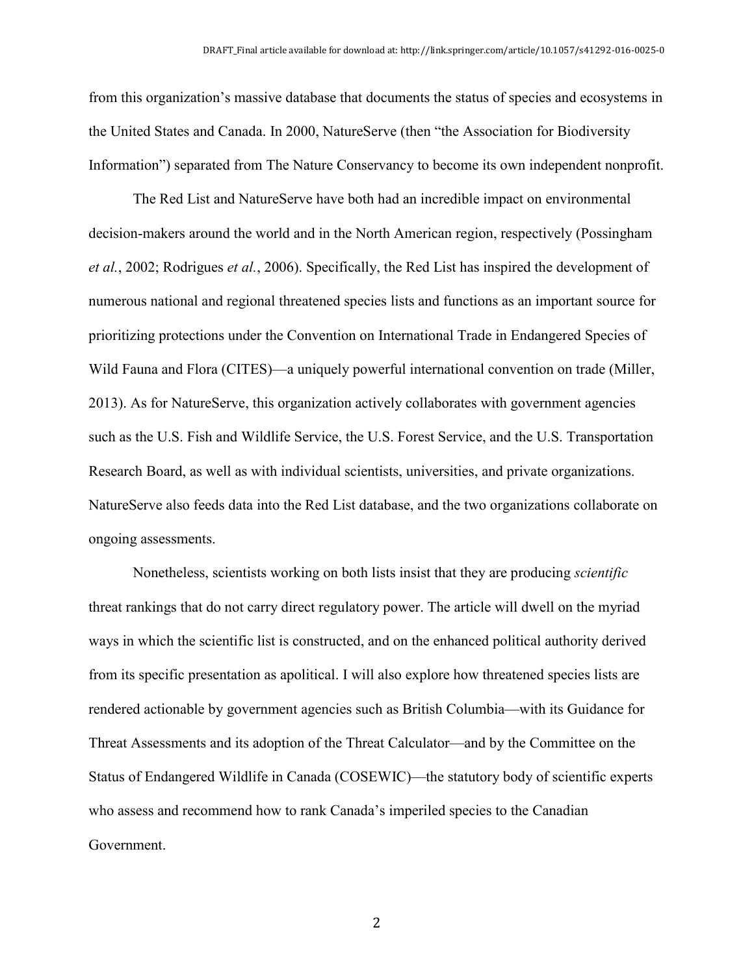from this organization's massive database that documents the status of species and ecosystems in the United States and Canada. In 2000, NatureServe (then "the Association for Biodiversity Information") separated from The Nature Conservancy to become its own independent nonprofit.

The Red List and NatureServe have both had an incredible impact on environmental decision-makers around the world and in the North American region, respectively (Possingham *et al.*, 2002; Rodrigues *et al.*, 2006). Specifically, the Red List has inspired the development of numerous national and regional threatened species lists and functions as an important source for prioritizing protections under the Convention on International Trade in Endangered Species of Wild Fauna and Flora (CITES)—a uniquely powerful international convention on trade (Miller, 2013). As for NatureServe, this organization actively collaborates with government agencies such as the U.S. Fish and Wildlife Service, the U.S. Forest Service, and the U.S. Transportation Research Board, as well as with individual scientists, universities, and private organizations. NatureServe also feeds data into the Red List database, and the two organizations collaborate on ongoing assessments.

Nonetheless, scientists working on both lists insist that they are producing *scientific* threat rankings that do not carry direct regulatory power. The article will dwell on the myriad ways in which the scientific list is constructed, and on the enhanced political authority derived from its specific presentation as apolitical. I will also explore how threatened species lists are rendered actionable by government agencies such as British Columbia—with its Guidance for Threat Assessments and its adoption of the Threat Calculator—and by the Committee on the Status of Endangered Wildlife in Canada (COSEWIC)—the statutory body of scientific experts who assess and recommend how to rank Canada's imperiled species to the Canadian Government.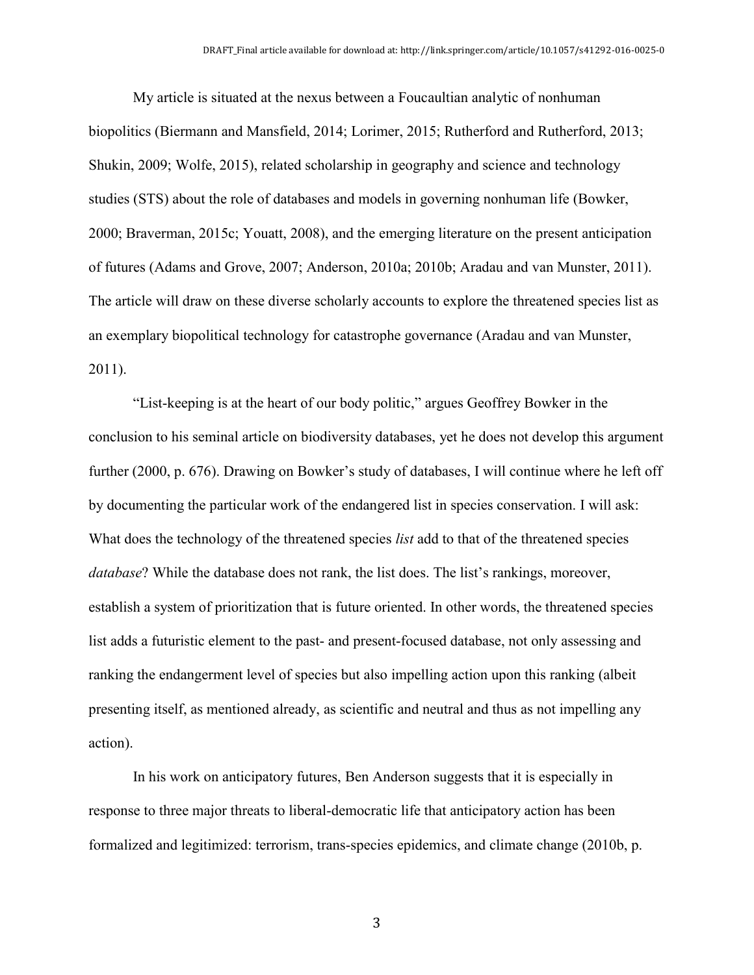My article is situated at the nexus between a Foucaultian analytic of nonhuman biopolitics (Biermann and Mansfield, 2014; Lorimer, 2015; Rutherford and Rutherford, 2013; Shukin, 2009; Wolfe, 2015), related scholarship in geography and science and technology studies (STS) about the role of databases and models in governing nonhuman life (Bowker, 2000; Braverman, 2015c; Youatt, 2008), and the emerging literature on the present anticipation of futures (Adams and Grove, 2007; Anderson, 2010a; 2010b; Aradau and van Munster, 2011). The article will draw on these diverse scholarly accounts to explore the threatened species list as an exemplary biopolitical technology for catastrophe governance (Aradau and van Munster, 2011).

"List-keeping is at the heart of our body politic," argues Geoffrey Bowker in the conclusion to his seminal article on biodiversity databases, yet he does not develop this argument further (2000, p. 676). Drawing on Bowker's study of databases, I will continue where he left off by documenting the particular work of the endangered list in species conservation. I will ask: What does the technology of the threatened species *list* add to that of the threatened species *database*? While the database does not rank, the list does. The list's rankings, moreover, establish a system of prioritization that is future oriented. In other words, the threatened species list adds a futuristic element to the past- and present-focused database, not only assessing and ranking the endangerment level of species but also impelling action upon this ranking (albeit presenting itself, as mentioned already, as scientific and neutral and thus as not impelling any action).

In his work on anticipatory futures, Ben Anderson suggests that it is especially in response to three major threats to liberal-democratic life that anticipatory action has been formalized and legitimized: terrorism, trans-species epidemics, and climate change (2010b, p.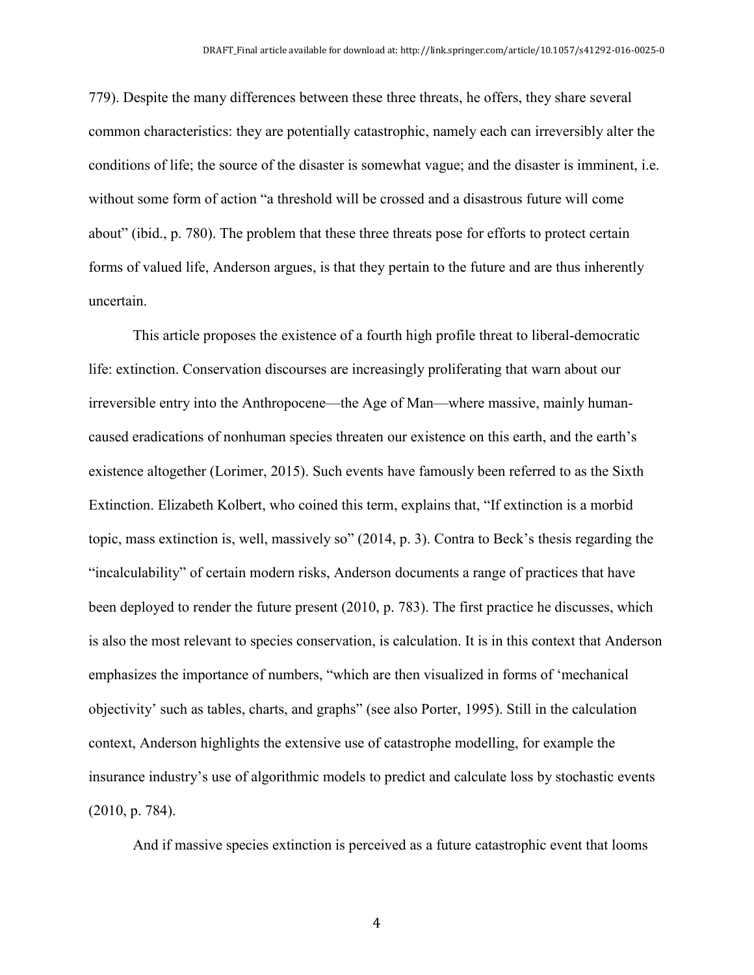779). Despite the many differences between these three threats, he offers, they share several common characteristics: they are potentially catastrophic, namely each can irreversibly alter the conditions of life; the source of the disaster is somewhat vague; and the disaster is imminent, i.e. without some form of action "a threshold will be crossed and a disastrous future will come about" (ibid., p. 780). The problem that these three threats pose for efforts to protect certain forms of valued life, Anderson argues, is that they pertain to the future and are thus inherently uncertain.

This article proposes the existence of a fourth high profile threat to liberal-democratic life: extinction. Conservation discourses are increasingly proliferating that warn about our irreversible entry into the Anthropocene—the Age of Man—where massive, mainly humancaused eradications of nonhuman species threaten our existence on this earth, and the earth's existence altogether (Lorimer, 2015). Such events have famously been referred to as the Sixth Extinction. Elizabeth Kolbert, who coined this term, explains that, "If extinction is a morbid topic, mass extinction is, well, massively so" (2014, p. 3). Contra to Beck's thesis regarding the "incalculability" of certain modern risks, Anderson documents a range of practices that have been deployed to render the future present (2010, p. 783). The first practice he discusses, which is also the most relevant to species conservation, is calculation. It is in this context that Anderson emphasizes the importance of numbers, "which are then visualized in forms of 'mechanical objectivity' such as tables, charts, and graphs" (see also Porter, 1995). Still in the calculation context, Anderson highlights the extensive use of catastrophe modelling, for example the insurance industry's use of algorithmic models to predict and calculate loss by stochastic events (2010, p. 784).

And if massive species extinction is perceived as a future catastrophic event that looms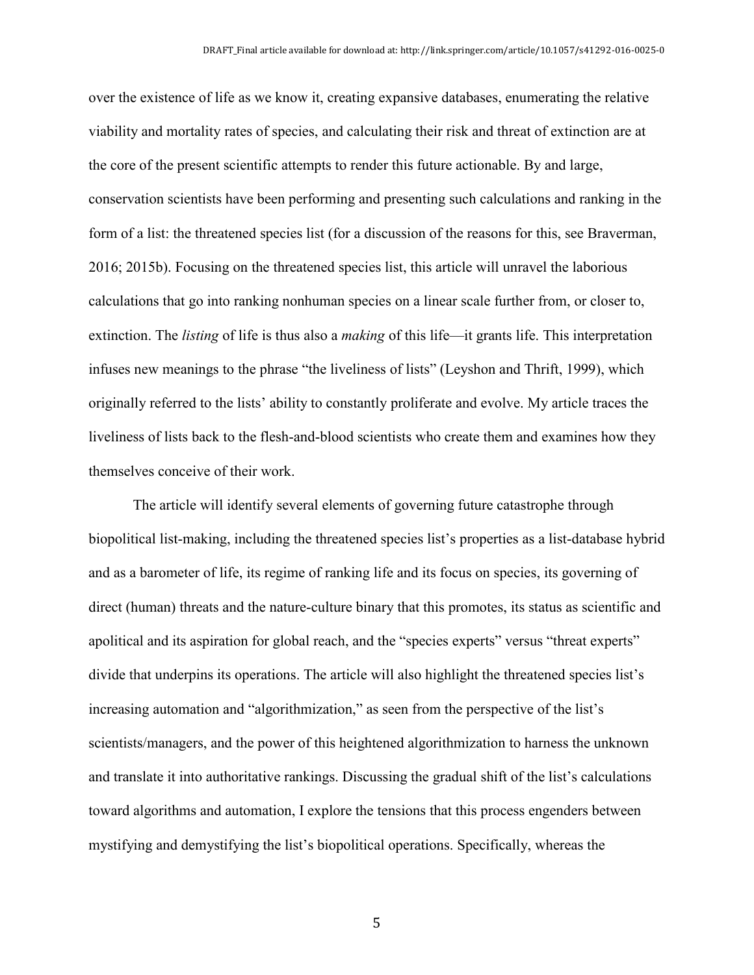over the existence of life as we know it, creating expansive databases, enumerating the relative viability and mortality rates of species, and calculating their risk and threat of extinction are at the core of the present scientific attempts to render this future actionable. By and large, conservation scientists have been performing and presenting such calculations and ranking in the form of a list: the threatened species list (for a discussion of the reasons for this, see Braverman, 2016; 2015b). Focusing on the threatened species list, this article will unravel the laborious calculations that go into ranking nonhuman species on a linear scale further from, or closer to, extinction. The *listing* of life is thus also a *making* of this life—it grants life. This interpretation infuses new meanings to the phrase "the liveliness of lists" (Leyshon and Thrift, 1999), which originally referred to the lists' ability to constantly proliferate and evolve. My article traces the liveliness of lists back to the flesh-and-blood scientists who create them and examines how they themselves conceive of their work.

The article will identify several elements of governing future catastrophe through biopolitical list-making, including the threatened species list's properties as a list-database hybrid and as a barometer of life, its regime of ranking life and its focus on species, its governing of direct (human) threats and the nature-culture binary that this promotes, its status as scientific and apolitical and its aspiration for global reach, and the "species experts" versus "threat experts" divide that underpins its operations. The article will also highlight the threatened species list's increasing automation and "algorithmization," as seen from the perspective of the list's scientists/managers, and the power of this heightened algorithmization to harness the unknown and translate it into authoritative rankings. Discussing the gradual shift of the list's calculations toward algorithms and automation, I explore the tensions that this process engenders between mystifying and demystifying the list's biopolitical operations. Specifically, whereas the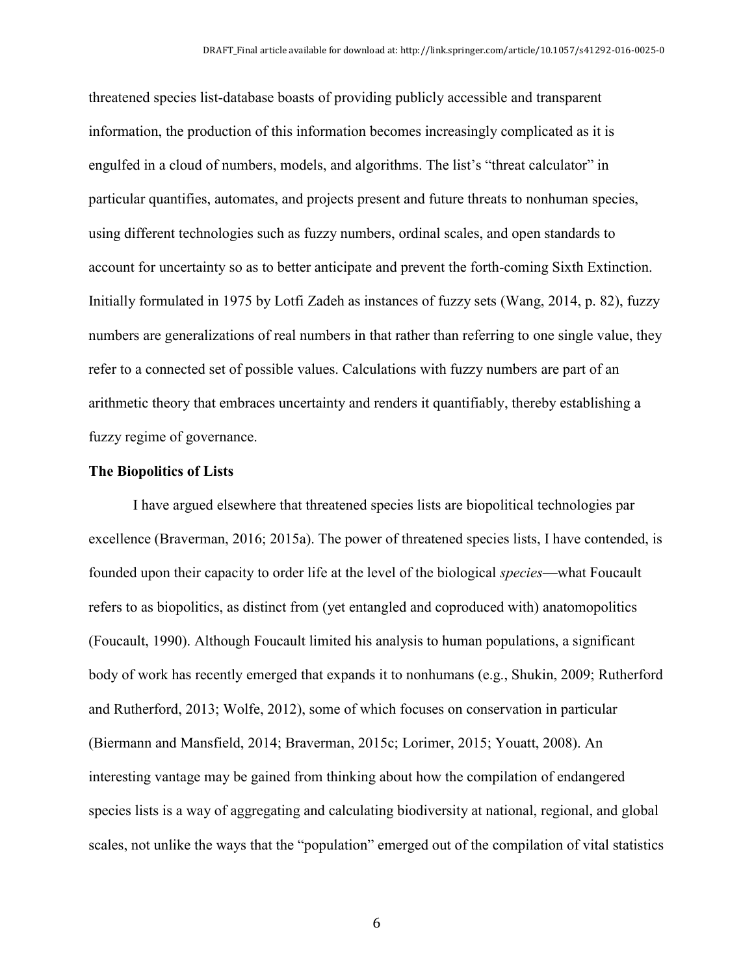threatened species list-database boasts of providing publicly accessible and transparent information, the production of this information becomes increasingly complicated as it is engulfed in a cloud of numbers, models, and algorithms. The list's "threat calculator" in particular quantifies, automates, and projects present and future threats to nonhuman species, using different technologies such as fuzzy numbers, ordinal scales, and open standards to account for uncertainty so as to better anticipate and prevent the forth-coming Sixth Extinction. Initially formulated in 1975 by Lotfi Zadeh as instances of fuzzy sets (Wang, 2014, p. 82), fuzzy numbers are generalizations of real numbers in that rather than referring to one single value, they refer to a connected set of possible values. Calculations with fuzzy numbers are part of an arithmetic theory that embraces uncertainty and renders it quantifiably, thereby establishing a fuzzy regime of governance.

#### **The Biopolitics of Lists**

I have argued elsewhere that threatened species lists are biopolitical technologies par excellence (Braverman, 2016; 2015a). The power of threatened species lists, I have contended, is founded upon their capacity to order life at the level of the biological *species*—what Foucault refers to as biopolitics, as distinct from (yet entangled and coproduced with) anatomopolitics (Foucault, 1990). Although Foucault limited his analysis to human populations, a significant body of work has recently emerged that expands it to nonhumans (e.g., Shukin, 2009; Rutherford and Rutherford, 2013; Wolfe, 2012), some of which focuses on conservation in particular (Biermann and Mansfield, 2014; Braverman, 2015c; Lorimer, 2015; Youatt, 2008). An interesting vantage may be gained from thinking about how the compilation of endangered species lists is a way of aggregating and calculating biodiversity at national, regional, and global scales, not unlike the ways that the "population" emerged out of the compilation of vital statistics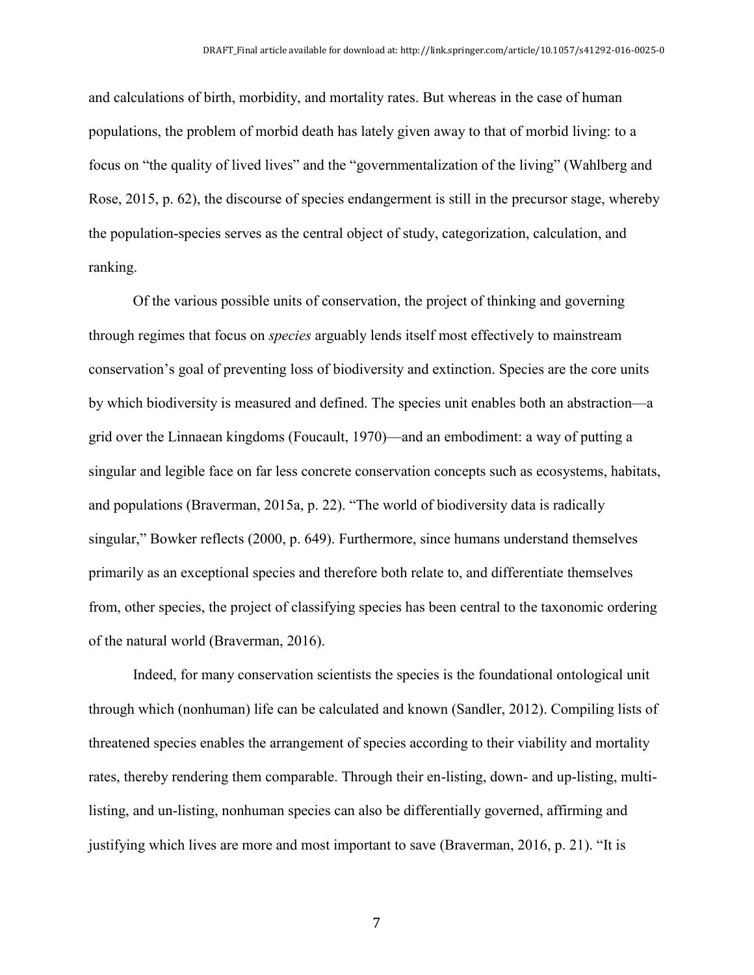and calculations of birth, morbidity, and mortality rates. But whereas in the case of human populations, the problem of morbid death has lately given away to that of morbid living: to a focus on "the quality of lived lives" and the "governmentalization of the living" (Wahlberg and Rose, 2015, p. 62), the discourse of species endangerment is still in the precursor stage, whereby the population-species serves as the central object of study, categorization, calculation, and ranking.

Of the various possible units of conservation, the project of thinking and governing through regimes that focus on *species* arguably lends itself most effectively to mainstream conservation's goal of preventing loss of biodiversity and extinction. Species are the core units by which biodiversity is measured and defined. The species unit enables both an abstraction—a grid over the Linnaean kingdoms (Foucault, 1970)—and an embodiment: a way of putting a singular and legible face on far less concrete conservation concepts such as ecosystems, habitats, and populations (Braverman, 2015a, p. 22). "The world of biodiversity data is radically singular," Bowker reflects (2000, p. 649). Furthermore, since humans understand themselves primarily as an exceptional species and therefore both relate to, and differentiate themselves from, other species, the project of classifying species has been central to the taxonomic ordering of the natural world (Braverman, 2016).

Indeed, for many conservation scientists the species is the foundational ontological unit through which (nonhuman) life can be calculated and known (Sandler, 2012). Compiling lists of threatened species enables the arrangement of species according to their viability and mortality rates, thereby rendering them comparable. Through their en-listing, down- and up-listing, multilisting, and un-listing, nonhuman species can also be differentially governed, affirming and justifying which lives are more and most important to save (Braverman, 2016, p. 21). "It is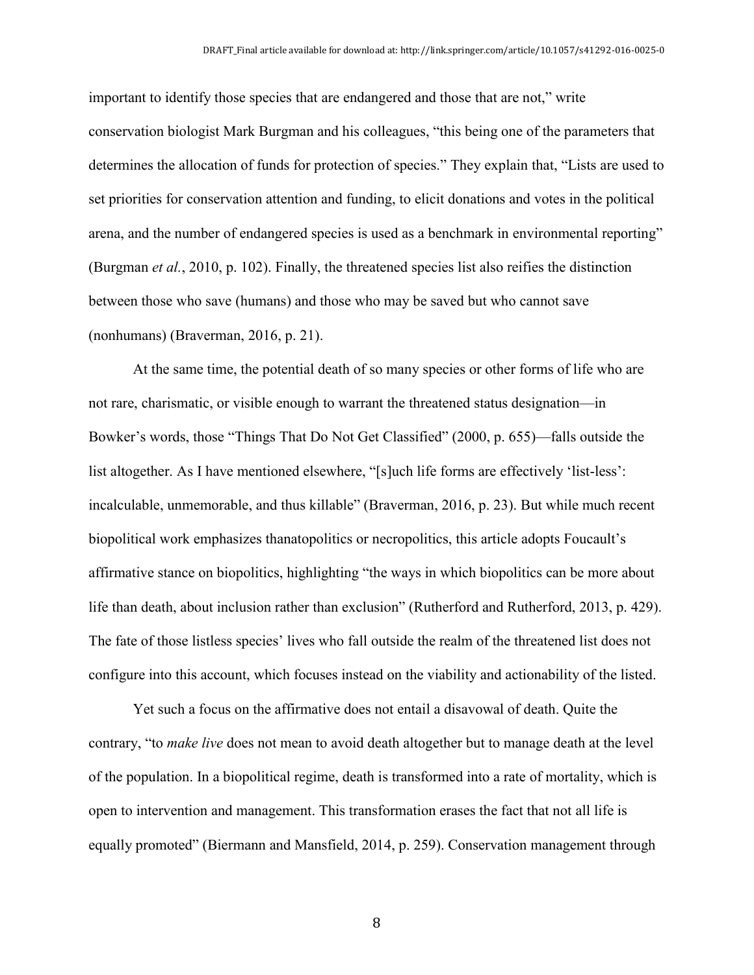important to identify those species that are endangered and those that are not," write conservation biologist Mark Burgman and his colleagues, "this being one of the parameters that determines the allocation of funds for protection of species." They explain that, "Lists are used to set priorities for conservation attention and funding, to elicit donations and votes in the political arena, and the number of endangered species is used as a benchmark in environmental reporting" (Burgman *et al.*, 2010, p. 102). Finally, the threatened species list also reifies the distinction between those who save (humans) and those who may be saved but who cannot save (nonhumans) (Braverman, 2016, p. 21).

At the same time, the potential death of so many species or other forms of life who are not rare, charismatic, or visible enough to warrant the threatened status designation—in Bowker's words, those "Things That Do Not Get Classified" (2000, p. 655)—falls outside the list altogether. As I have mentioned elsewhere, "[s]uch life forms are effectively 'list-less': incalculable, unmemorable, and thus killable" (Braverman, 2016, p. 23). But while much recent biopolitical work emphasizes thanatopolitics or necropolitics, this article adopts Foucault's affirmative stance on biopolitics, highlighting "the ways in which biopolitics can be more about life than death, about inclusion rather than exclusion" (Rutherford and Rutherford, 2013, p. 429). The fate of those listless species' lives who fall outside the realm of the threatened list does not configure into this account, which focuses instead on the viability and actionability of the listed.

Yet such a focus on the affirmative does not entail a disavowal of death. Quite the contrary, "to *make live* does not mean to avoid death altogether but to manage death at the level of the population. In a biopolitical regime, death is transformed into a rate of mortality, which is open to intervention and management. This transformation erases the fact that not all life is equally promoted" (Biermann and Mansfield, 2014, p. 259). Conservation management through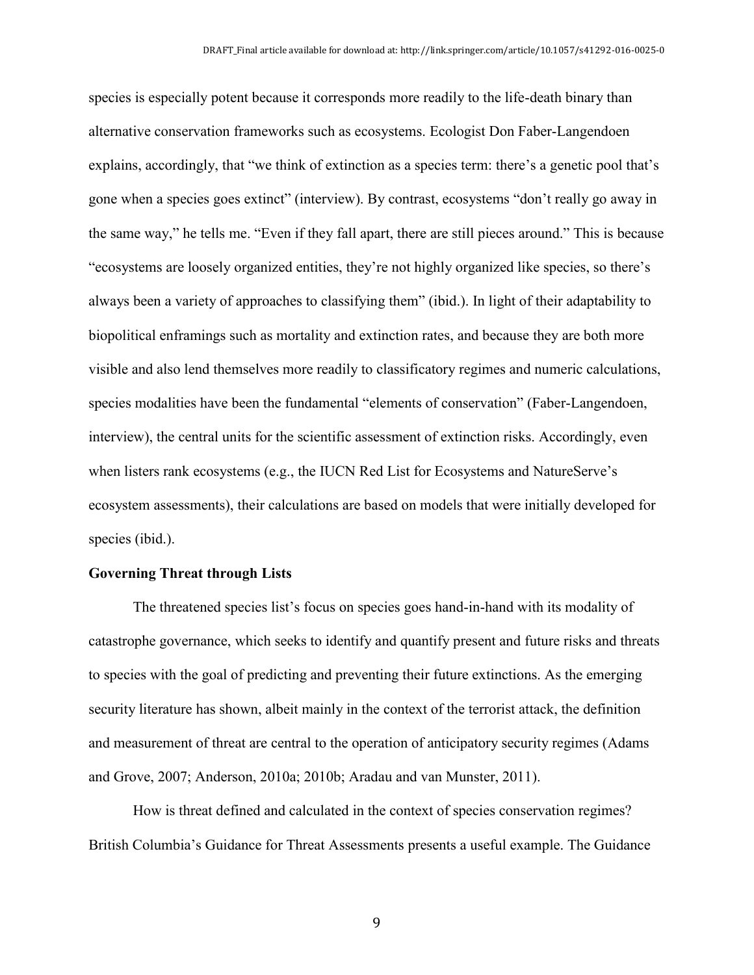species is especially potent because it corresponds more readily to the life-death binary than alternative conservation frameworks such as ecosystems. Ecologist Don Faber-Langendoen explains, accordingly, that "we think of extinction as a species term: there's a genetic pool that's gone when a species goes extinct" (interview). By contrast, ecosystems "don't really go away in the same way," he tells me. "Even if they fall apart, there are still pieces around." This is because "ecosystems are loosely organized entities, they're not highly organized like species, so there's always been a variety of approaches to classifying them" (ibid.). In light of their adaptability to biopolitical enframings such as mortality and extinction rates, and because they are both more visible and also lend themselves more readily to classificatory regimes and numeric calculations, species modalities have been the fundamental "elements of conservation" (Faber-Langendoen, interview), the central units for the scientific assessment of extinction risks. Accordingly, even when listers rank ecosystems (e.g., the IUCN Red List for Ecosystems and NatureServe's ecosystem assessments), their calculations are based on models that were initially developed for species (ibid.).

#### **Governing Threat through Lists**

The threatened species list's focus on species goes hand-in-hand with its modality of catastrophe governance, which seeks to identify and quantify present and future risks and threats to species with the goal of predicting and preventing their future extinctions. As the emerging security literature has shown, albeit mainly in the context of the terrorist attack, the definition and measurement of threat are central to the operation of anticipatory security regimes (Adams and Grove, 2007; Anderson, 2010a; 2010b; Aradau and van Munster, 2011).

How is threat defined and calculated in the context of species conservation regimes? British Columbia's Guidance for Threat Assessments presents a useful example. The Guidance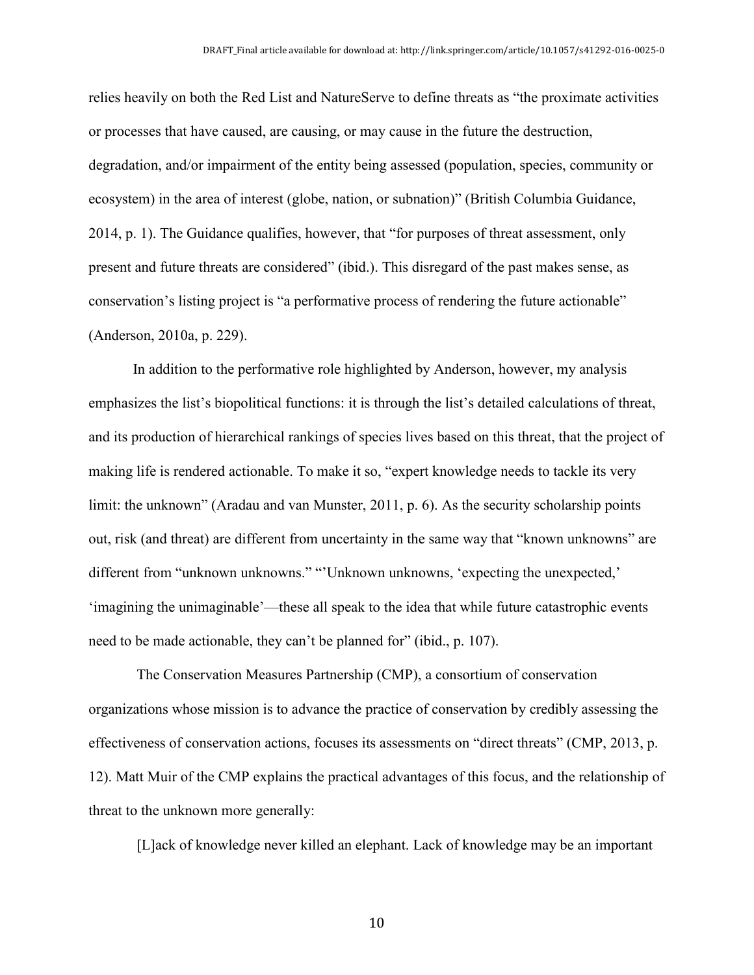relies heavily on both the Red List and NatureServe to define threats as "the proximate activities or processes that have caused, are causing, or may cause in the future the destruction, degradation, and/or impairment of the entity being assessed (population, species, community or ecosystem) in the area of interest (globe, nation, or subnation)" (British Columbia Guidance, 2014, p. 1). The Guidance qualifies, however, that "for purposes of threat assessment, only present and future threats are considered" (ibid.). This disregard of the past makes sense, as conservation's listing project is "a performative process of rendering the future actionable" (Anderson, 2010a, p. 229).

In addition to the performative role highlighted by Anderson, however, my analysis emphasizes the list's biopolitical functions: it is through the list's detailed calculations of threat, and its production of hierarchical rankings of species lives based on this threat, that the project of making life is rendered actionable. To make it so, "expert knowledge needs to tackle its very limit: the unknown" (Aradau and van Munster, 2011, p. 6). As the security scholarship points out, risk (and threat) are different from uncertainty in the same way that "known unknowns" are different from "unknown unknowns." "'Unknown unknowns, 'expecting the unexpected,' 'imagining the unimaginable'—these all speak to the idea that while future catastrophic events need to be made actionable, they can't be planned for" (ibid., p. 107).

The Conservation Measures Partnership (CMP), a consortium of conservation organizations whose mission is to advance the practice of conservation by credibly assessing the effectiveness of conservation actions, focuses its assessments on "direct threats" (CMP, 2013, p. 12). Matt Muir of the CMP explains the practical advantages of this focus, and the relationship of threat to the unknown more generally:

[L]ack of knowledge never killed an elephant. Lack of knowledge may be an important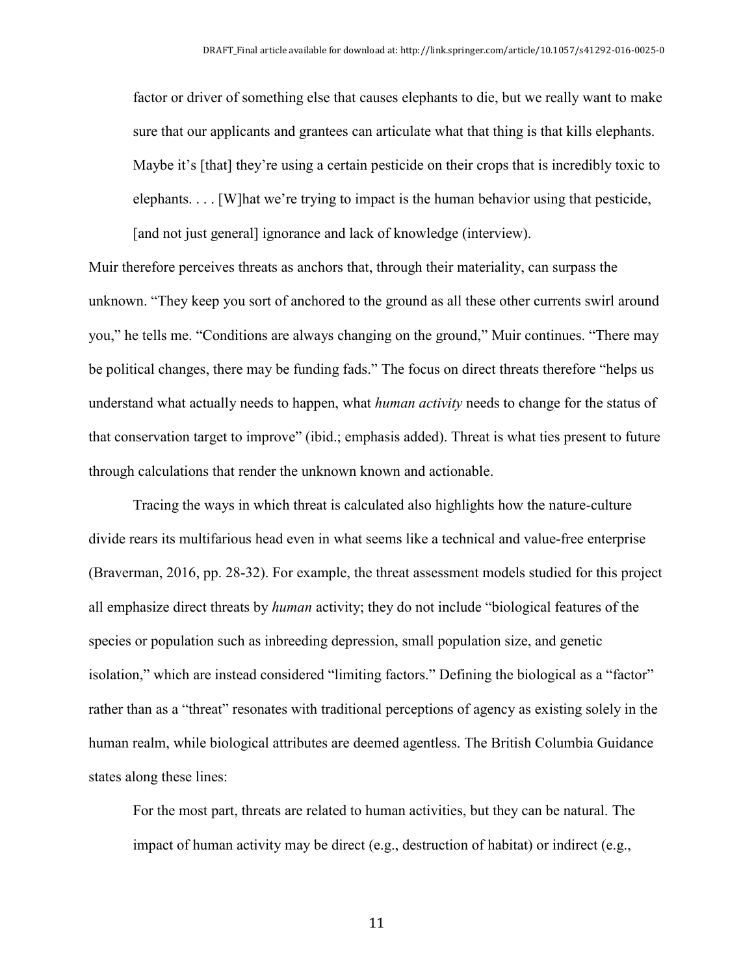factor or driver of something else that causes elephants to die, but we really want to make sure that our applicants and grantees can articulate what that thing is that kills elephants. Maybe it's [that] they're using a certain pesticide on their crops that is incredibly toxic to elephants.  $\ldots$  [W] hat we're trying to impact is the human behavior using that pesticide, [and not just general] ignorance and lack of knowledge (interview).

Muir therefore perceives threats as anchors that, through their materiality, can surpass the unknown. "They keep you sort of anchored to the ground as all these other currents swirl around you," he tells me. "Conditions are always changing on the ground," Muir continues. "There may be political changes, there may be funding fads." The focus on direct threats therefore "helps us understand what actually needs to happen, what *human activity* needs to change for the status of that conservation target to improve" (ibid.; emphasis added). Threat is what ties present to future through calculations that render the unknown known and actionable.

Tracing the ways in which threat is calculated also highlights how the nature-culture divide rears its multifarious head even in what seems like a technical and value-free enterprise (Braverman, 2016, pp. 28-32). For example, the threat assessment models studied for this project all emphasize direct threats by *human* activity; they do not include "biological features of the species or population such as inbreeding depression, small population size, and genetic isolation," which are instead considered "limiting factors." Defining the biological as a "factor" rather than as a "threat" resonates with traditional perceptions of agency as existing solely in the human realm, while biological attributes are deemed agentless. The British Columbia Guidance states along these lines:

For the most part, threats are related to human activities, but they can be natural. The impact of human activity may be direct (e.g., destruction of habitat) or indirect (e.g.,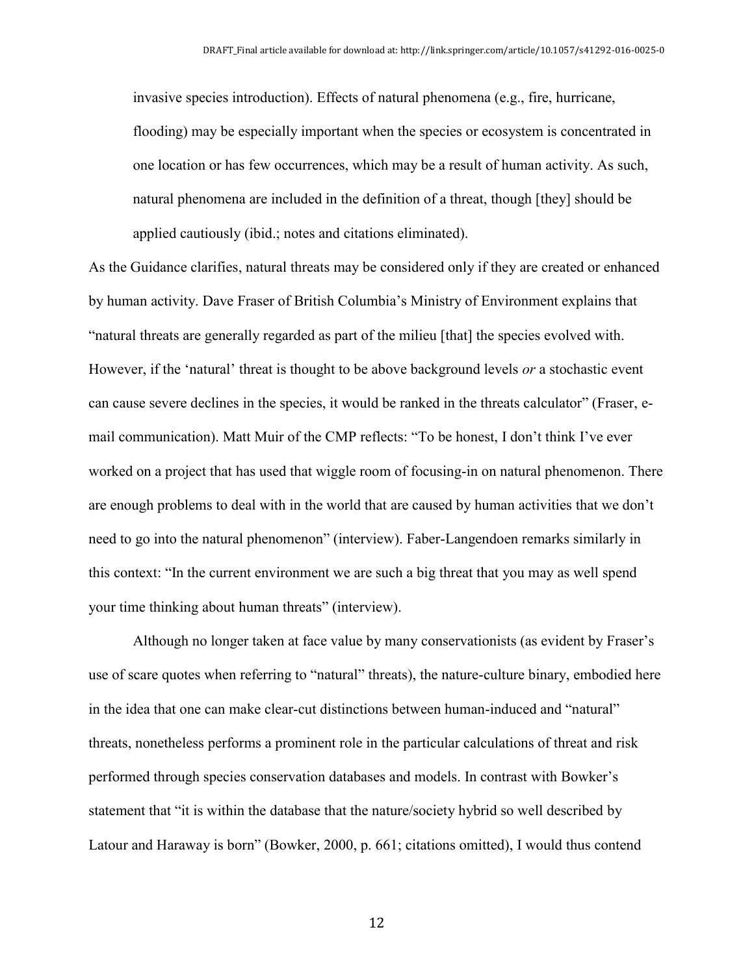invasive species introduction). Effects of natural phenomena (e.g., fire, hurricane, flooding) may be especially important when the species or ecosystem is concentrated in one location or has few occurrences, which may be a result of human activity. As such, natural phenomena are included in the definition of a threat, though [they] should be applied cautiously (ibid.; notes and citations eliminated).

As the Guidance clarifies, natural threats may be considered only if they are created or enhanced by human activity. Dave Fraser of British Columbia's Ministry of Environment explains that "natural threats are generally regarded as part of the milieu [that] the species evolved with. However, if the 'natural' threat is thought to be above background levels *or* a stochastic event can cause severe declines in the species, it would be ranked in the threats calculator" (Fraser, email communication). Matt Muir of the CMP reflects: "To be honest, I don't think I've ever worked on a project that has used that wiggle room of focusing-in on natural phenomenon. There are enough problems to deal with in the world that are caused by human activities that we don't need to go into the natural phenomenon" (interview). Faber-Langendoen remarks similarly in this context: "In the current environment we are such a big threat that you may as well spend your time thinking about human threats" (interview).

Although no longer taken at face value by many conservationists (as evident by Fraser's use of scare quotes when referring to "natural" threats), the nature-culture binary, embodied here in the idea that one can make clear-cut distinctions between human-induced and "natural" threats, nonetheless performs a prominent role in the particular calculations of threat and risk performed through species conservation databases and models. In contrast with Bowker's statement that "it is within the database that the nature/society hybrid so well described by Latour and Haraway is born" (Bowker, 2000, p. 661; citations omitted), I would thus contend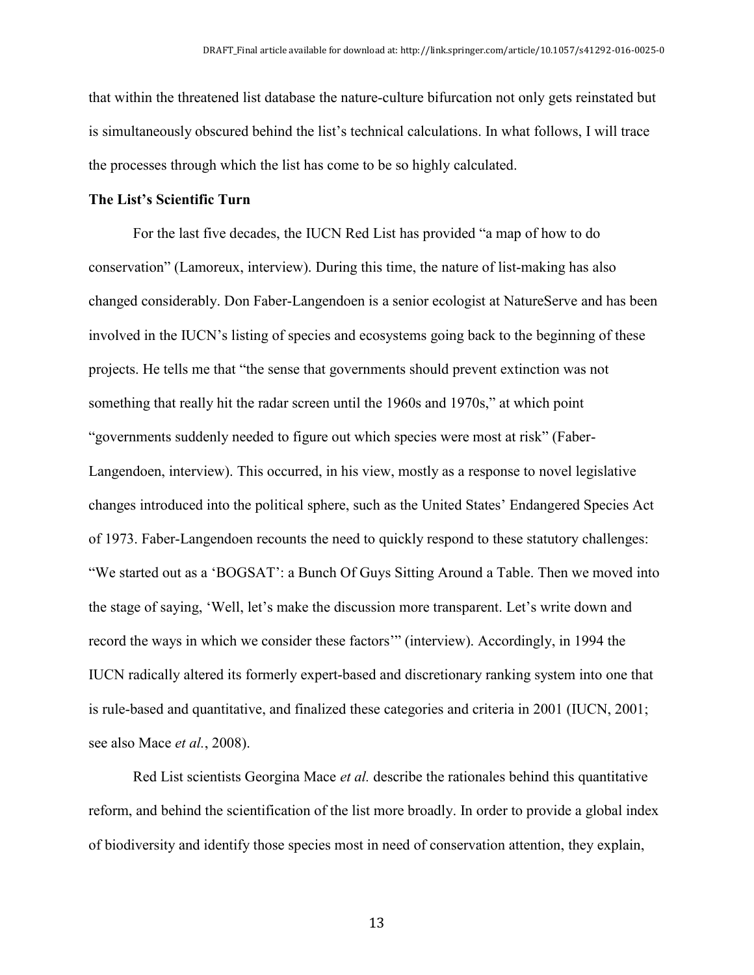that within the threatened list database the nature-culture bifurcation not only gets reinstated but is simultaneously obscured behind the list's technical calculations. In what follows, I will trace the processes through which the list has come to be so highly calculated.

#### **The List's Scientific Turn**

For the last five decades, the IUCN Red List has provided "a map of how to do conservation" (Lamoreux, interview). During this time, the nature of list-making has also changed considerably. Don Faber-Langendoen is a senior ecologist at NatureServe and has been involved in the IUCN's listing of species and ecosystems going back to the beginning of these projects. He tells me that "the sense that governments should prevent extinction was not something that really hit the radar screen until the 1960s and 1970s," at which point "governments suddenly needed to figure out which species were most at risk" (Faber-Langendoen, interview). This occurred, in his view, mostly as a response to novel legislative changes introduced into the political sphere, such as the United States' Endangered Species Act of 1973. Faber-Langendoen recounts the need to quickly respond to these statutory challenges: "We started out as a 'BOGSAT': a Bunch Of Guys Sitting Around a Table. Then we moved into the stage of saying, 'Well, let's make the discussion more transparent. Let's write down and record the ways in which we consider these factors'" (interview). Accordingly, in 1994 the IUCN radically altered its formerly expert-based and discretionary ranking system into one that is rule-based and quantitative, and finalized these categories and criteria in 2001 (IUCN, 2001; see also Mace *et al.*, 2008).

Red List scientists Georgina Mace *et al.* describe the rationales behind this quantitative reform, and behind the scientification of the list more broadly. In order to provide a global index of biodiversity and identify those species most in need of conservation attention, they explain,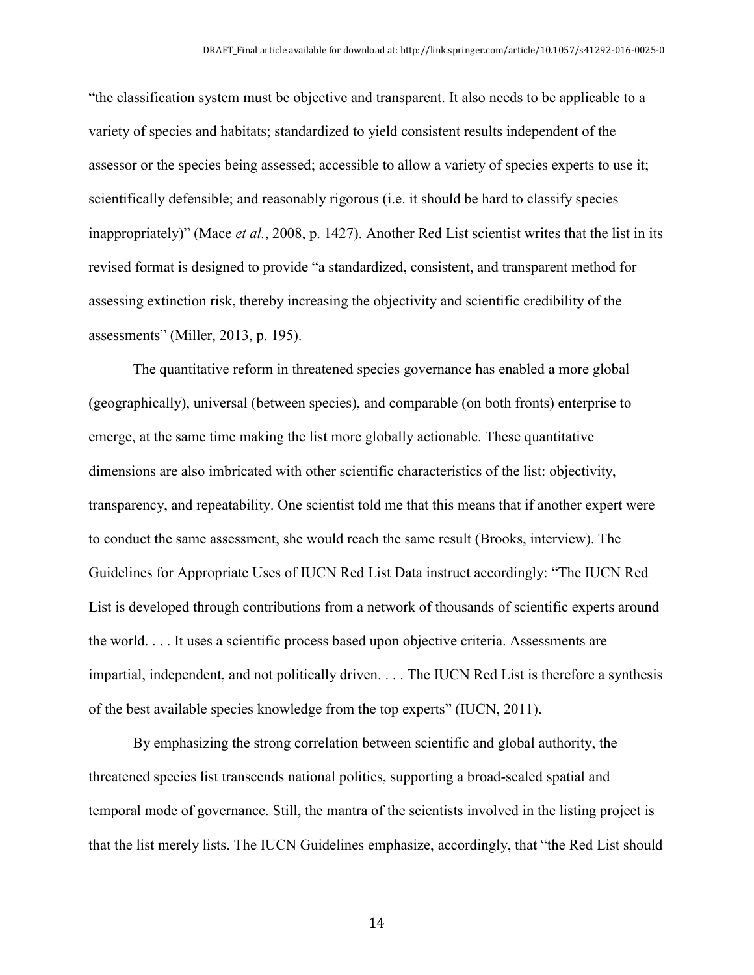"the classification system must be objective and transparent. It also needs to be applicable to a variety of species and habitats; standardized to yield consistent results independent of the assessor or the species being assessed; accessible to allow a variety of species experts to use it; scientifically defensible; and reasonably rigorous (i.e. it should be hard to classify species inappropriately)" (Mace *et al.*, 2008, p. 1427). Another Red List scientist writes that the list in its revised format is designed to provide "a standardized, consistent, and transparent method for assessing extinction risk, thereby increasing the objectivity and scientific credibility of the assessments" (Miller, 2013, p. 195).

The quantitative reform in threatened species governance has enabled a more global (geographically), universal (between species), and comparable (on both fronts) enterprise to emerge, at the same time making the list more globally actionable. These quantitative dimensions are also imbricated with other scientific characteristics of the list: objectivity, transparency, and repeatability. One scientist told me that this means that if another expert were to conduct the same assessment, she would reach the same result (Brooks, interview). The Guidelines for Appropriate Uses of IUCN Red List Data instruct accordingly: "The IUCN Red List is developed through contributions from a network of thousands of scientific experts around the world. . . . It uses a scientific process based upon objective criteria. Assessments are impartial, independent, and not politically driven. . . . The IUCN Red List is therefore a synthesis of the best available species knowledge from the top experts" (IUCN, 2011).

By emphasizing the strong correlation between scientific and global authority, the threatened species list transcends national politics, supporting a broad-scaled spatial and temporal mode of governance. Still, the mantra of the scientists involved in the listing project is that the list merely lists. The IUCN Guidelines emphasize, accordingly, that "the Red List should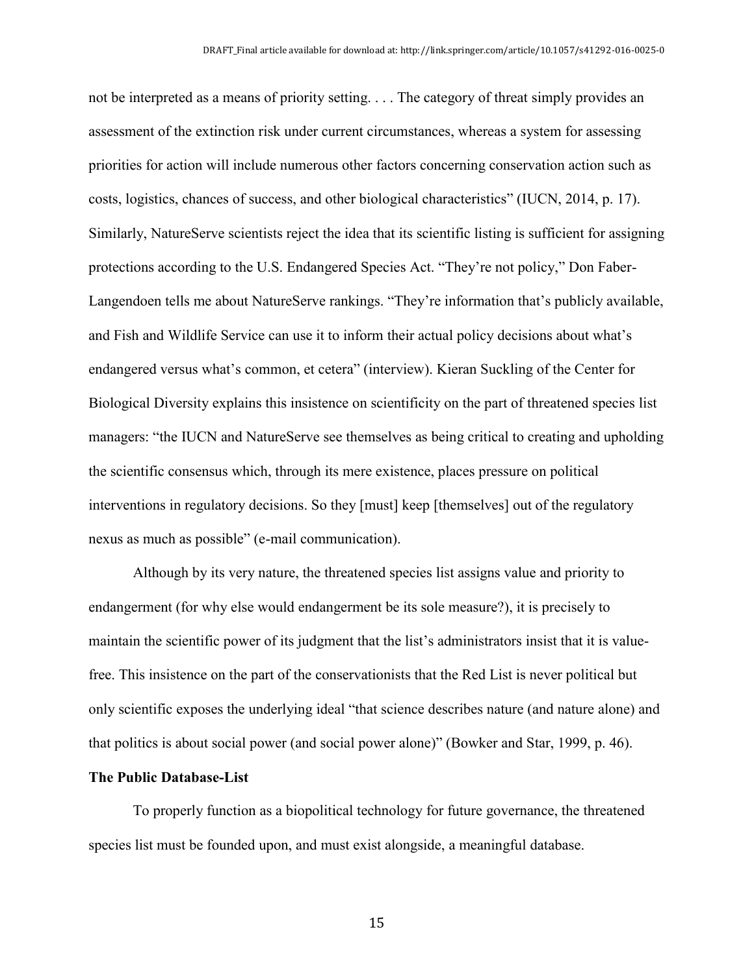not be interpreted as a means of priority setting. . . . The category of threat simply provides an assessment of the extinction risk under current circumstances, whereas a system for assessing priorities for action will include numerous other factors concerning conservation action such as costs, logistics, chances of success, and other biological characteristics" (IUCN, 2014, p. 17). Similarly, NatureServe scientists reject the idea that its scientific listing is sufficient for assigning protections according to the U.S. Endangered Species Act. "They're not policy," Don Faber-Langendoen tells me about NatureServe rankings. "They're information that's publicly available, and Fish and Wildlife Service can use it to inform their actual policy decisions about what's endangered versus what's common, et cetera" (interview). Kieran Suckling of the Center for Biological Diversity explains this insistence on scientificity on the part of threatened species list managers: "the IUCN and NatureServe see themselves as being critical to creating and upholding the scientific consensus which, through its mere existence, places pressure on political interventions in regulatory decisions. So they [must] keep [themselves] out of the regulatory nexus as much as possible" (e-mail communication).

Although by its very nature, the threatened species list assigns value and priority to endangerment (for why else would endangerment be its sole measure?), it is precisely to maintain the scientific power of its judgment that the list's administrators insist that it is valuefree. This insistence on the part of the conservationists that the Red List is never political but only scientific exposes the underlying ideal "that science describes nature (and nature alone) and that politics is about social power (and social power alone)" (Bowker and Star, 1999, p. 46).

#### **The Public Database-List**

To properly function as a biopolitical technology for future governance, the threatened species list must be founded upon, and must exist alongside, a meaningful database.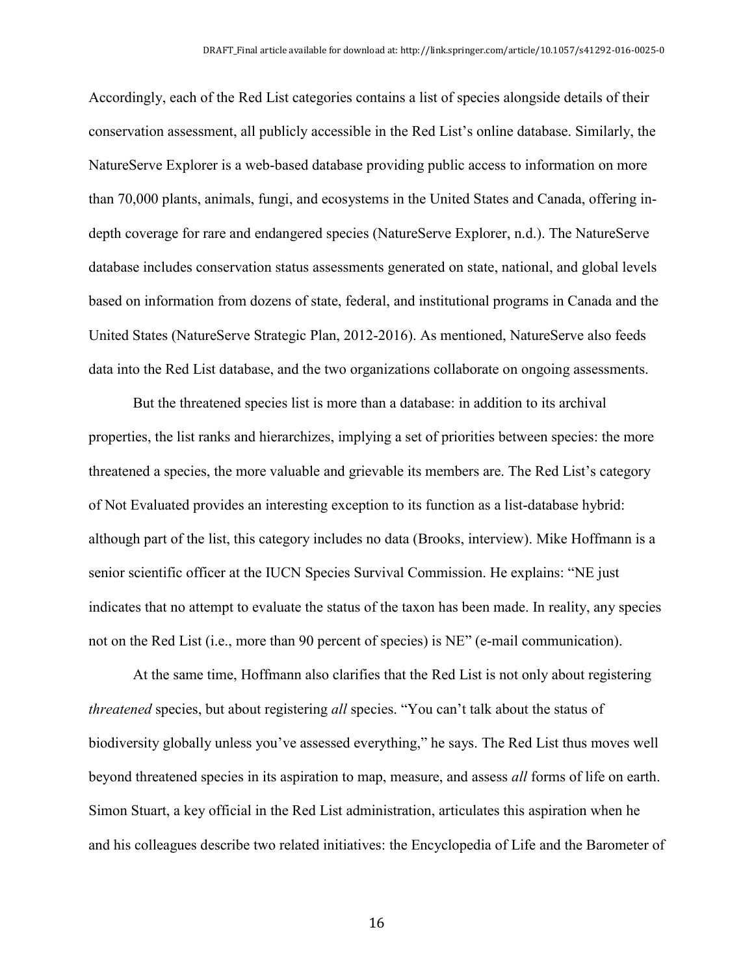Accordingly, each of the Red List categories contains a list of species alongside details of their conservation assessment, all publicly accessible in the Red List's online database. Similarly, the NatureServe Explorer is a web-based database providing public access to information on more than 70,000 plants, animals, fungi, and ecosystems in the United States and Canada, offering indepth coverage for rare and endangered species (NatureServe Explorer, n.d.). The NatureServe database includes conservation status assessments generated on state, national, and global levels based on information from dozens of state, federal, and institutional programs in Canada and the United States (NatureServe Strategic Plan, 2012-2016). As mentioned, NatureServe also feeds data into the Red List database, and the two organizations collaborate on ongoing assessments.

But the threatened species list is more than a database: in addition to its archival properties, the list ranks and hierarchizes, implying a set of priorities between species: the more threatened a species, the more valuable and grievable its members are. The Red List's category of Not Evaluated provides an interesting exception to its function as a list-database hybrid: although part of the list, this category includes no data (Brooks, interview). Mike Hoffmann is a senior scientific officer at the IUCN Species Survival Commission. He explains: "NE just indicates that no attempt to evaluate the status of the taxon has been made. In reality, any species not on the Red List (i.e., more than 90 percent of species) is NE" (e-mail communication).

At the same time, Hoffmann also clarifies that the Red List is not only about registering *threatened* species, but about registering *all* species. "You can't talk about the status of biodiversity globally unless you've assessed everything," he says. The Red List thus moves well beyond threatened species in its aspiration to map, measure, and assess *all* forms of life on earth. Simon Stuart, a key official in the Red List administration, articulates this aspiration when he and his colleagues describe two related initiatives: the Encyclopedia of Life and the Barometer of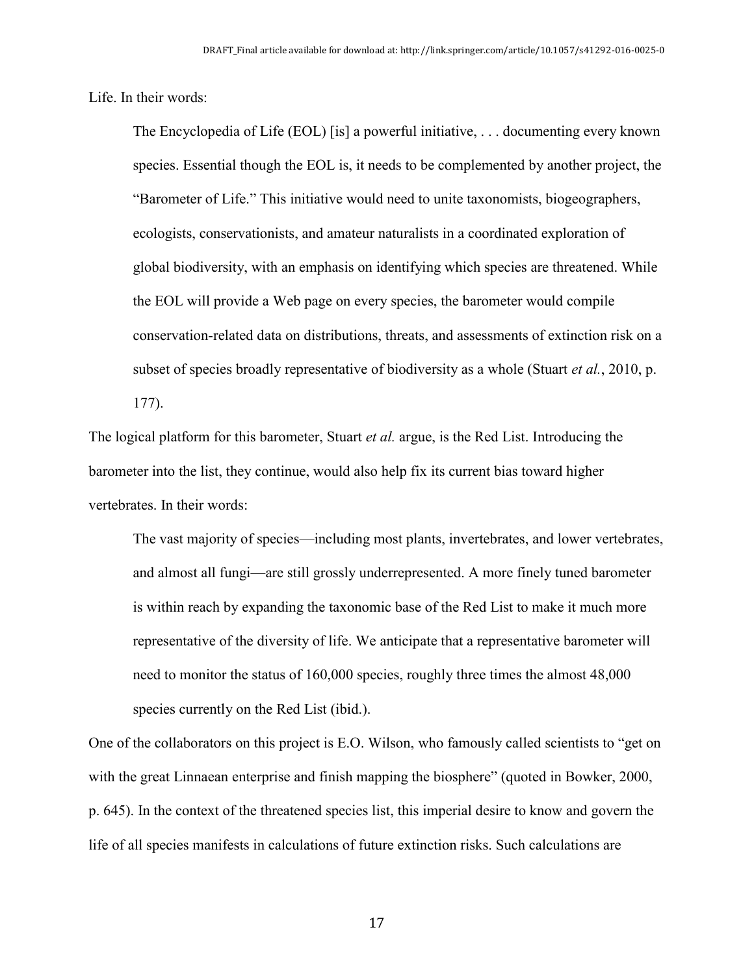Life. In their words:

The Encyclopedia of Life (EOL) [is] a powerful initiative, . . . documenting every known species. Essential though the EOL is, it needs to be complemented by another project, the "Barometer of Life." This initiative would need to unite taxonomists, biogeographers, ecologists, conservationists, and amateur naturalists in a coordinated exploration of global biodiversity, with an emphasis on identifying which species are threatened. While the EOL will provide a Web page on every species, the barometer would compile conservation-related data on distributions, threats, and assessments of extinction risk on a subset of species broadly representative of biodiversity as a whole (Stuart *et al.*, 2010, p. 177).

The logical platform for this barometer, Stuart *et al.* argue, is the Red List. Introducing the barometer into the list, they continue, would also help fix its current bias toward higher vertebrates. In their words:

The vast majority of species—including most plants, invertebrates, and lower vertebrates, and almost all fungi—are still grossly underrepresented. A more finely tuned barometer is within reach by expanding the taxonomic base of the Red List to make it much more representative of the diversity of life. We anticipate that a representative barometer will need to monitor the status of 160,000 species, roughly three times the almost 48,000 species currently on the Red List (ibid.).

One of the collaborators on this project is E.O. Wilson, who famously called scientists to "get on with the great Linnaean enterprise and finish mapping the biosphere" (quoted in Bowker, 2000, p. 645). In the context of the threatened species list, this imperial desire to know and govern the life of all species manifests in calculations of future extinction risks. Such calculations are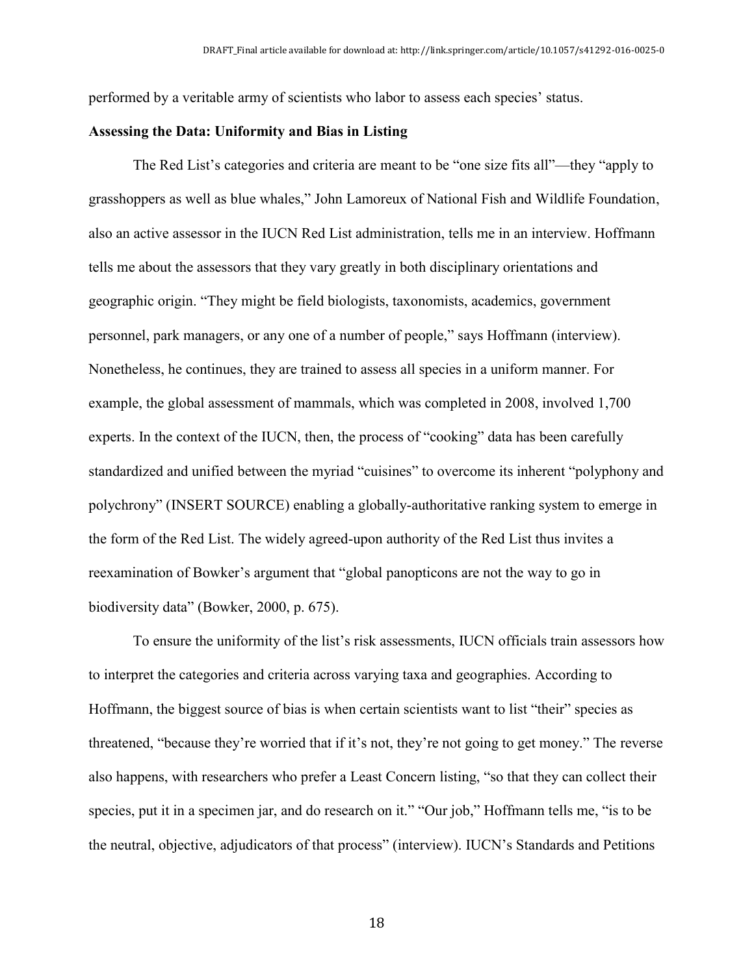performed by a veritable army of scientists who labor to assess each species' status.

#### **Assessing the Data: Uniformity and Bias in Listing**

The Red List's categories and criteria are meant to be "one size fits all"—they "apply to grasshoppers as well as blue whales," John Lamoreux of National Fish and Wildlife Foundation, also an active assessor in the IUCN Red List administration, tells me in an interview. Hoffmann tells me about the assessors that they vary greatly in both disciplinary orientations and geographic origin. "They might be field biologists, taxonomists, academics, government personnel, park managers, or any one of a number of people," says Hoffmann (interview). Nonetheless, he continues, they are trained to assess all species in a uniform manner. For example, the global assessment of mammals, which was completed in 2008, involved 1,700 experts. In the context of the IUCN, then, the process of "cooking" data has been carefully standardized and unified between the myriad "cuisines" to overcome its inherent "polyphony and polychrony" (INSERT SOURCE) enabling a globally-authoritative ranking system to emerge in the form of the Red List. The widely agreed-upon authority of the Red List thus invites a reexamination of Bowker's argument that "global panopticons are not the way to go in biodiversity data" (Bowker, 2000, p. 675).

To ensure the uniformity of the list's risk assessments, IUCN officials train assessors how to interpret the categories and criteria across varying taxa and geographies. According to Hoffmann, the biggest source of bias is when certain scientists want to list "their" species as threatened, "because they're worried that if it's not, they're not going to get money." The reverse also happens, with researchers who prefer a Least Concern listing, "so that they can collect their species, put it in a specimen jar, and do research on it." "Our job," Hoffmann tells me, "is to be the neutral, objective, adjudicators of that process" (interview). IUCN's Standards and Petitions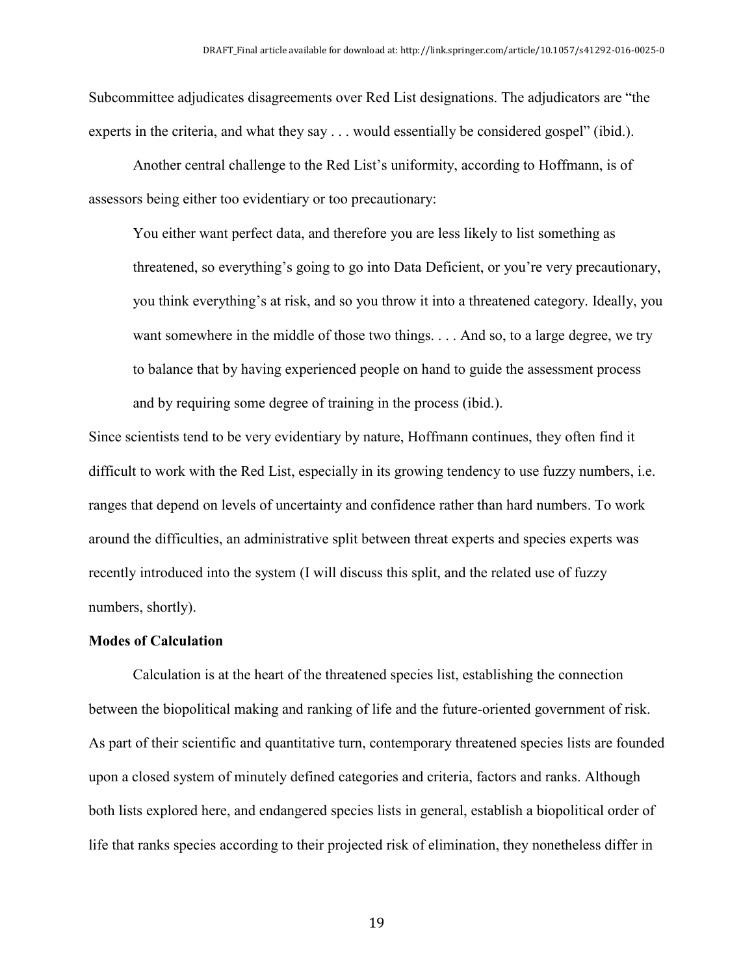Subcommittee adjudicates disagreements over Red List designations. The adjudicators are "the experts in the criteria, and what they say . . . would essentially be considered gospel" (ibid.).

Another central challenge to the Red List's uniformity, according to Hoffmann, is of assessors being either too evidentiary or too precautionary:

You either want perfect data, and therefore you are less likely to list something as threatened, so everything's going to go into Data Deficient, or you're very precautionary, you think everything's at risk, and so you throw it into a threatened category. Ideally, you want somewhere in the middle of those two things. . . . And so, to a large degree, we try to balance that by having experienced people on hand to guide the assessment process and by requiring some degree of training in the process (ibid.).

Since scientists tend to be very evidentiary by nature, Hoffmann continues, they often find it difficult to work with the Red List, especially in its growing tendency to use fuzzy numbers, i.e. ranges that depend on levels of uncertainty and confidence rather than hard numbers. To work around the difficulties, an administrative split between threat experts and species experts was recently introduced into the system (I will discuss this split, and the related use of fuzzy numbers, shortly).

#### **Modes of Calculation**

Calculation is at the heart of the threatened species list, establishing the connection between the biopolitical making and ranking of life and the future-oriented government of risk. As part of their scientific and quantitative turn, contemporary threatened species lists are founded upon a closed system of minutely defined categories and criteria, factors and ranks. Although both lists explored here, and endangered species lists in general, establish a biopolitical order of life that ranks species according to their projected risk of elimination, they nonetheless differ in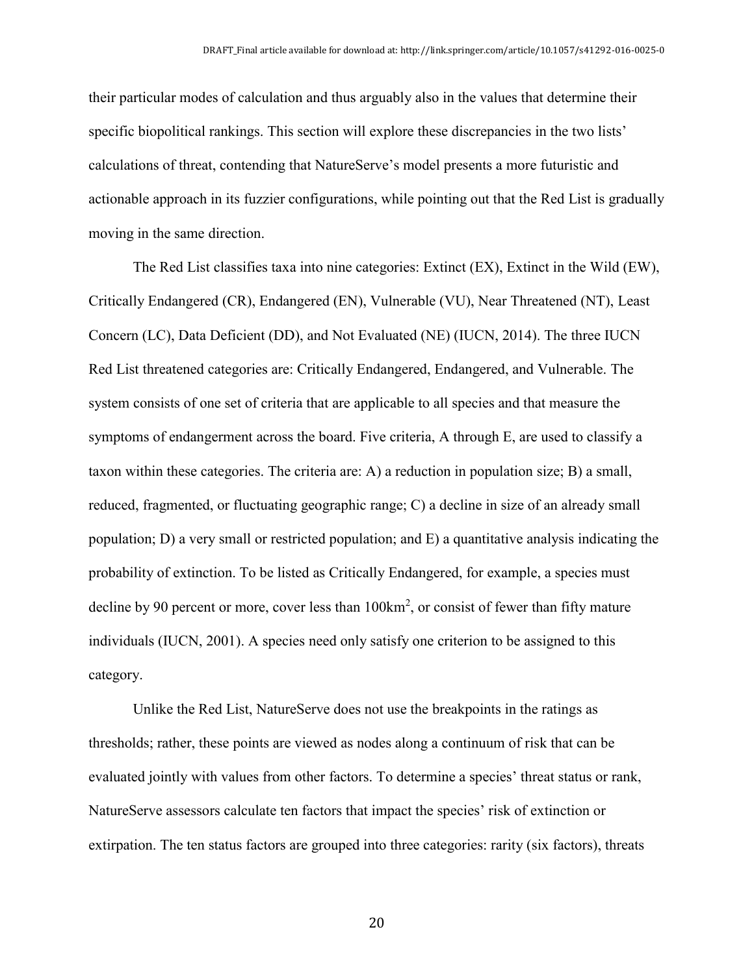their particular modes of calculation and thus arguably also in the values that determine their specific biopolitical rankings. This section will explore these discrepancies in the two lists' calculations of threat, contending that NatureServe's model presents a more futuristic and actionable approach in its fuzzier configurations, while pointing out that the Red List is gradually moving in the same direction.

The Red List classifies taxa into nine categories: Extinct (EX), Extinct in the Wild (EW), Critically Endangered (CR), Endangered (EN), Vulnerable (VU), Near Threatened (NT), Least Concern (LC), Data Deficient (DD), and Not Evaluated (NE) (IUCN, 2014). The three IUCN Red List threatened categories are: Critically Endangered, Endangered, and Vulnerable. The system consists of one set of criteria that are applicable to all species and that measure the symptoms of endangerment across the board. Five criteria, A through E, are used to classify a taxon within these categories. The criteria are: A) a reduction in population size; B) a small, reduced, fragmented, or fluctuating geographic range; C) a decline in size of an already small population; D) a very small or restricted population; and E) a quantitative analysis indicating the probability of extinction. To be listed as Critically Endangered, for example, a species must decline by 90 percent or more, cover less than 100km<sup>2</sup>, or consist of fewer than fifty mature individuals (IUCN, 2001). A species need only satisfy one criterion to be assigned to this category.

Unlike the Red List, NatureServe does not use the breakpoints in the ratings as thresholds; rather, these points are viewed as nodes along a continuum of risk that can be evaluated jointly with values from other factors. To determine a species' threat status or rank, NatureServe assessors calculate ten factors that impact the species' risk of extinction or extirpation. The ten status factors are grouped into three categories: rarity (six factors), threats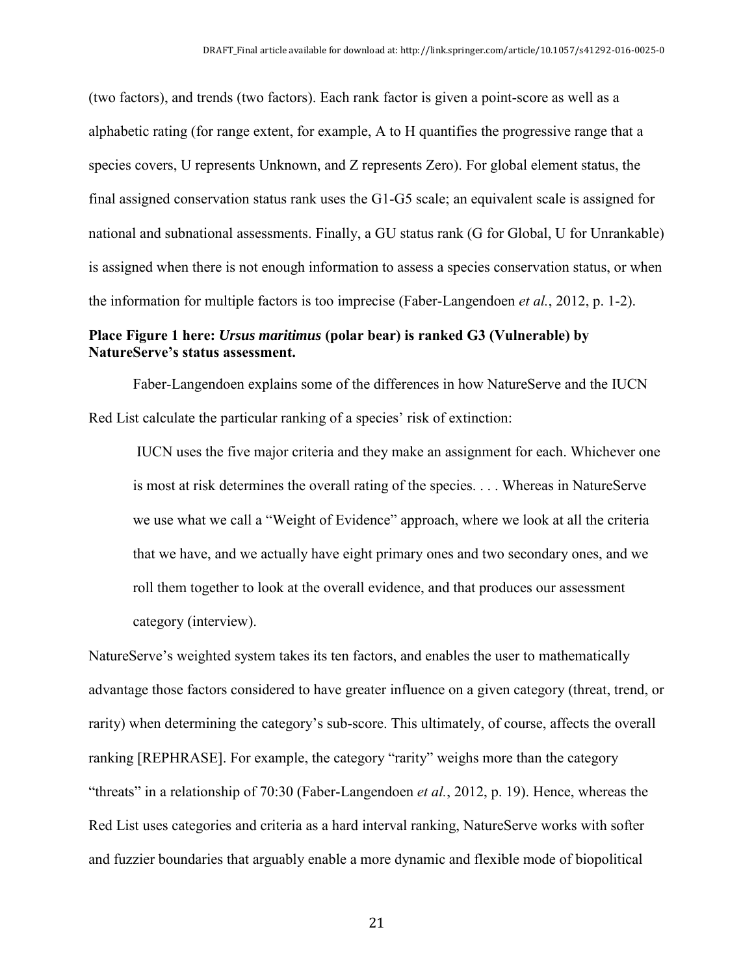(two factors), and trends (two factors). Each rank factor is given a point-score as well as a alphabetic rating (for range extent, for example, A to H quantifies the progressive range that a species covers, U represents Unknown, and Z represents Zero). For global element status, the final assigned conservation status rank uses the G1-G5 scale; an equivalent scale is assigned for national and subnational assessments. Finally, a GU status rank (G for Global, U for Unrankable) is assigned when there is not enough information to assess a species conservation status, or when the information for multiple factors is too imprecise (Faber-Langendoen *et al.*, 2012, p. 1-2).

#### **Place Figure 1 here:** *Ursus maritimus* **(polar bear) is ranked G3 (Vulnerable) by NatureServe's status assessment.**

Faber-Langendoen explains some of the differences in how NatureServe and the IUCN Red List calculate the particular ranking of a species' risk of extinction:

IUCN uses the five major criteria and they make an assignment for each. Whichever one is most at risk determines the overall rating of the species. . . . Whereas in NatureServe we use what we call a "Weight of Evidence" approach, where we look at all the criteria that we have, and we actually have eight primary ones and two secondary ones, and we roll them together to look at the overall evidence, and that produces our assessment category (interview).

NatureServe's weighted system takes its ten factors, and enables the user to mathematically advantage those factors considered to have greater influence on a given category (threat, trend, or rarity) when determining the category's sub-score. This ultimately, of course, affects the overall ranking [REPHRASE]. For example, the category "rarity" weighs more than the category "threats" in a relationship of 70:30 (Faber-Langendoen *et al.*, 2012, p. 19). Hence, whereas the Red List uses categories and criteria as a hard interval ranking, NatureServe works with softer and fuzzier boundaries that arguably enable a more dynamic and flexible mode of biopolitical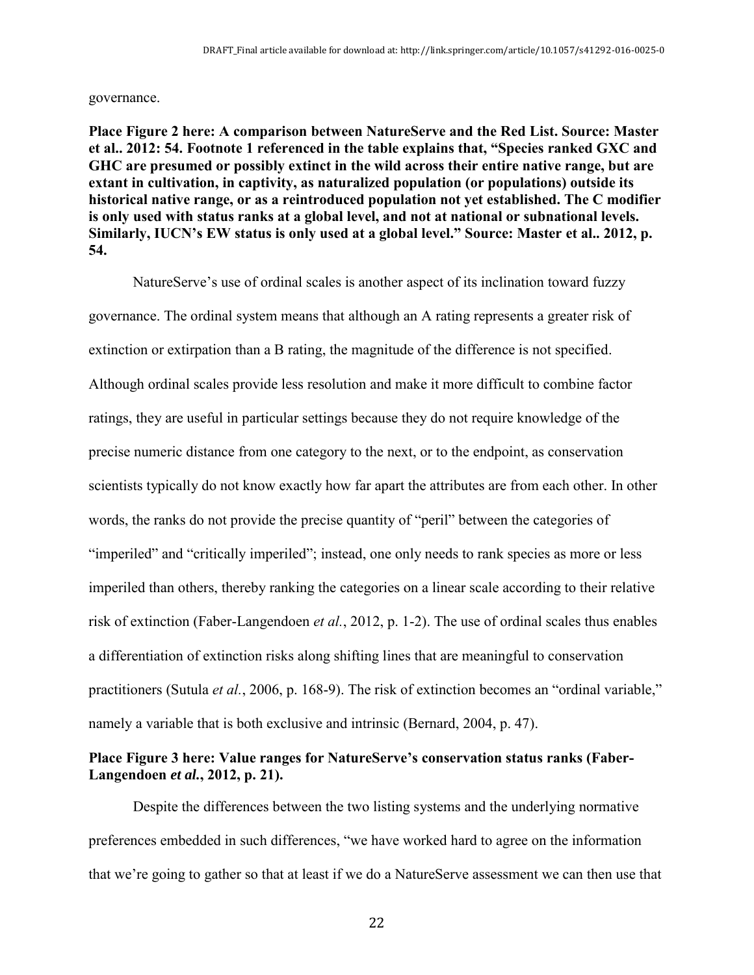governance.

**Place Figure 2 here: A comparison between NatureServe and the Red List. Source: Master et al.. 2012: 54. Footnote 1 referenced in the table explains that, "Species ranked GXC and GHC are presumed or possibly extinct in the wild across their entire native range, but are extant in cultivation, in captivity, as naturalized population (or populations) outside its historical native range, or as a reintroduced population not yet established. The C modifier is only used with status ranks at a global level, and not at national or subnational levels. Similarly, IUCN's EW status is only used at a global level." Source: Master et al.. 2012, p. 54.**

NatureServe's use of ordinal scales is another aspect of its inclination toward fuzzy governance. The ordinal system means that although an A rating represents a greater risk of extinction or extirpation than a B rating, the magnitude of the difference is not specified. Although ordinal scales provide less resolution and make it more difficult to combine factor ratings, they are useful in particular settings because they do not require knowledge of the precise numeric distance from one category to the next, or to the endpoint, as conservation scientists typically do not know exactly how far apart the attributes are from each other. In other words, the ranks do not provide the precise quantity of "peril" between the categories of "imperiled" and "critically imperiled"; instead, one only needs to rank species as more or less imperiled than others, thereby ranking the categories on a linear scale according to their relative risk of extinction (Faber-Langendoen *et al.*, 2012, p. 1-2). The use of ordinal scales thus enables a differentiation of extinction risks along shifting lines that are meaningful to conservation practitioners (Sutula *et al.*, 2006, p. 168-9). The risk of extinction becomes an "ordinal variable," namely a variable that is both exclusive and intrinsic (Bernard, 2004, p. 47).

### **Place Figure 3 here: Value ranges for NatureServe's conservation status ranks (Faber-Langendoen** *et al.***, 2012, p. 21).**

Despite the differences between the two listing systems and the underlying normative preferences embedded in such differences, "we have worked hard to agree on the information that we're going to gather so that at least if we do a NatureServe assessment we can then use that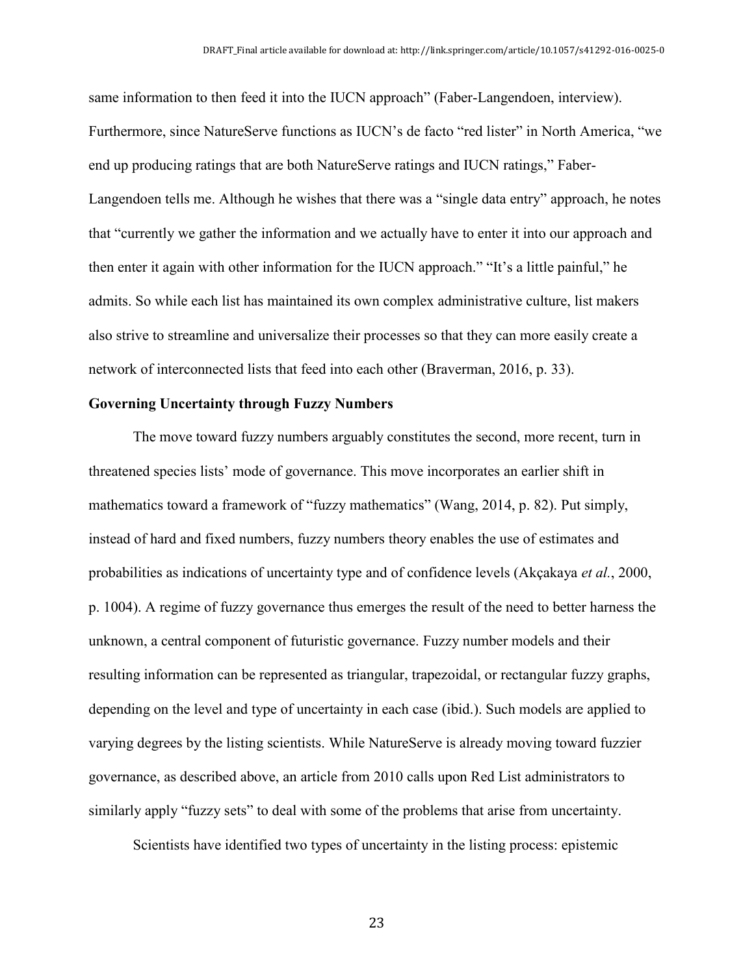same information to then feed it into the IUCN approach" (Faber-Langendoen, interview). Furthermore, since NatureServe functions as IUCN's de facto "red lister" in North America, "we end up producing ratings that are both NatureServe ratings and IUCN ratings," Faber-Langendoen tells me. Although he wishes that there was a "single data entry" approach, he notes that "currently we gather the information and we actually have to enter it into our approach and then enter it again with other information for the IUCN approach." "It's a little painful," he admits. So while each list has maintained its own complex administrative culture, list makers also strive to streamline and universalize their processes so that they can more easily create a network of interconnected lists that feed into each other (Braverman, 2016, p. 33).

#### **Governing Uncertainty through Fuzzy Numbers**

The move toward fuzzy numbers arguably constitutes the second, more recent, turn in threatened species lists' mode of governance. This move incorporates an earlier shift in mathematics toward a framework of "fuzzy mathematics" (Wang, 2014, p. 82). Put simply, instead of hard and fixed numbers, fuzzy numbers theory enables the use of estimates and probabilities as indications of uncertainty type and of confidence levels (Akçakaya *et al.*, 2000, p. 1004). A regime of fuzzy governance thus emerges the result of the need to better harness the unknown, a central component of futuristic governance. Fuzzy number models and their resulting information can be represented as triangular, trapezoidal, or rectangular fuzzy graphs, depending on the level and type of uncertainty in each case (ibid.). Such models are applied to varying degrees by the listing scientists. While NatureServe is already moving toward fuzzier governance, as described above, an article from 2010 calls upon Red List administrators to similarly apply "fuzzy sets" to deal with some of the problems that arise from uncertainty.

Scientists have identified two types of uncertainty in the listing process: epistemic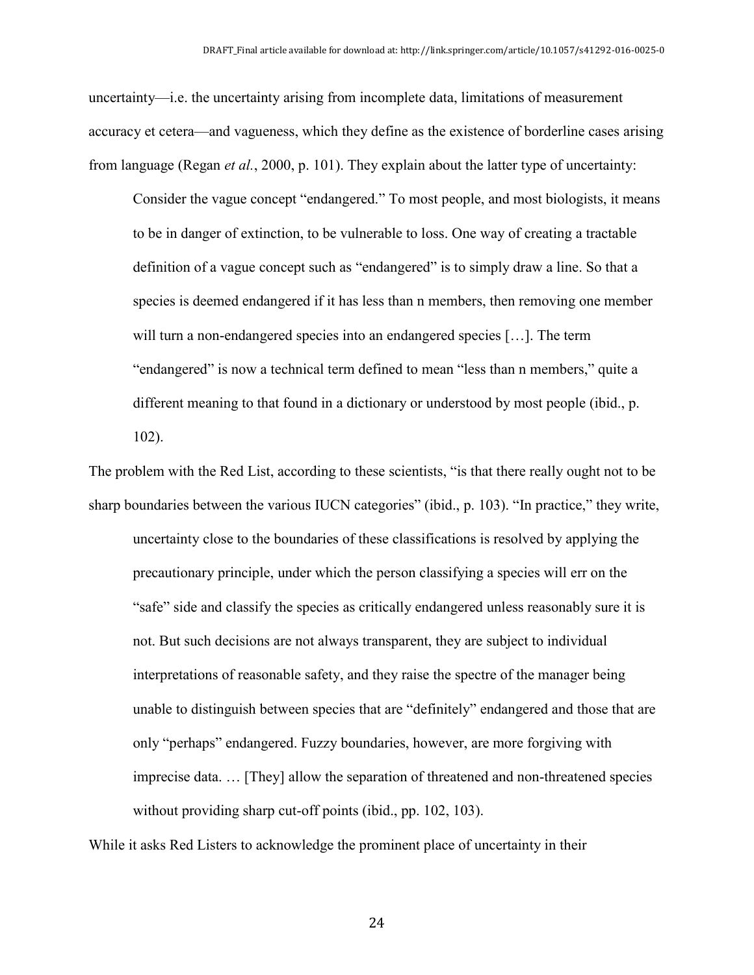uncertainty—i.e. the uncertainty arising from incomplete data, limitations of measurement accuracy et cetera—and vagueness, which they define as the existence of borderline cases arising from language (Regan *et al.*, 2000, p. 101). They explain about the latter type of uncertainty:

Consider the vague concept "endangered." To most people, and most biologists, it means to be in danger of extinction, to be vulnerable to loss. One way of creating a tractable definition of a vague concept such as "endangered" is to simply draw a line. So that a species is deemed endangered if it has less than n members, then removing one member will turn a non-endangered species into an endangered species […]. The term "endangered" is now a technical term defined to mean "less than n members," quite a different meaning to that found in a dictionary or understood by most people (ibid., p. 102).

The problem with the Red List, according to these scientists, "is that there really ought not to be sharp boundaries between the various IUCN categories" (ibid., p. 103). "In practice," they write, uncertainty close to the boundaries of these classifications is resolved by applying the precautionary principle, under which the person classifying a species will err on the "safe" side and classify the species as critically endangered unless reasonably sure it is not. But such decisions are not always transparent, they are subject to individual interpretations of reasonable safety, and they raise the spectre of the manager being unable to distinguish between species that are "definitely" endangered and those that are only "perhaps" endangered. Fuzzy boundaries, however, are more forgiving with imprecise data. … [They] allow the separation of threatened and non-threatened species without providing sharp cut-off points (ibid., pp. 102, 103).

While it asks Red Listers to acknowledge the prominent place of uncertainty in their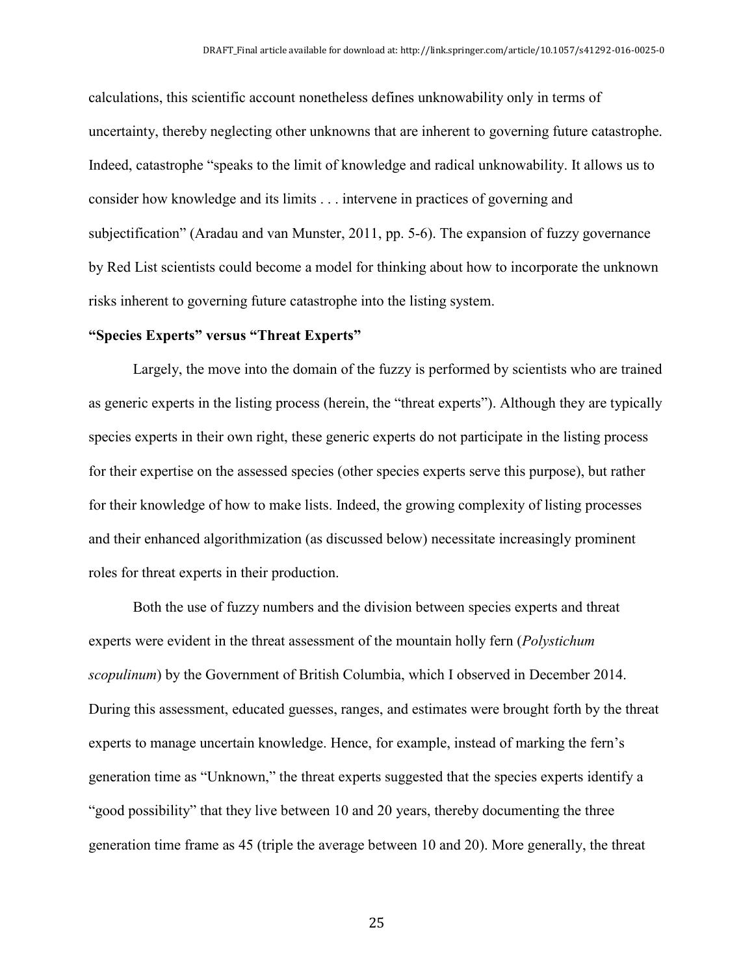calculations, this scientific account nonetheless defines unknowability only in terms of uncertainty, thereby neglecting other unknowns that are inherent to governing future catastrophe. Indeed, catastrophe "speaks to the limit of knowledge and radical unknowability. It allows us to consider how knowledge and its limits . . . intervene in practices of governing and subjectification" (Aradau and van Munster, 2011, pp. 5-6). The expansion of fuzzy governance by Red List scientists could become a model for thinking about how to incorporate the unknown risks inherent to governing future catastrophe into the listing system.

#### **"Species Experts" versus "Threat Experts"**

Largely, the move into the domain of the fuzzy is performed by scientists who are trained as generic experts in the listing process (herein, the "threat experts"). Although they are typically species experts in their own right, these generic experts do not participate in the listing process for their expertise on the assessed species (other species experts serve this purpose), but rather for their knowledge of how to make lists. Indeed, the growing complexity of listing processes and their enhanced algorithmization (as discussed below) necessitate increasingly prominent roles for threat experts in their production.

Both the use of fuzzy numbers and the division between species experts and threat experts were evident in the threat assessment of the mountain holly fern (*Polystichum scopulinum*) by the Government of British Columbia, which I observed in December 2014. During this assessment, educated guesses, ranges, and estimates were brought forth by the threat experts to manage uncertain knowledge. Hence, for example, instead of marking the fern's generation time as "Unknown," the threat experts suggested that the species experts identify a "good possibility" that they live between 10 and 20 years, thereby documenting the three generation time frame as 45 (triple the average between 10 and 20). More generally, the threat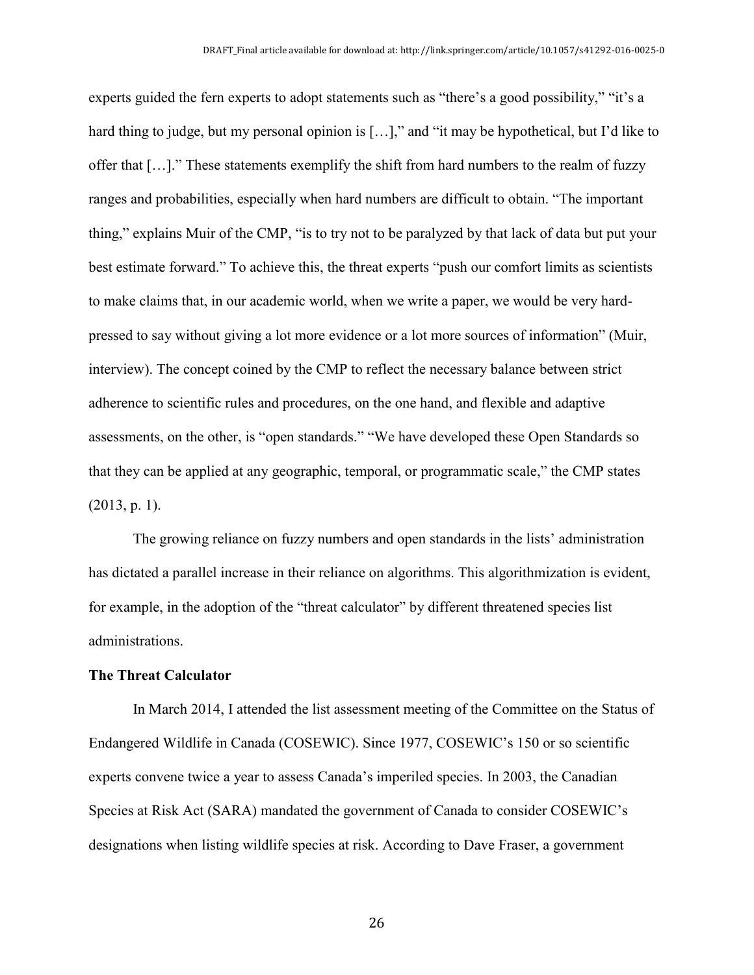experts guided the fern experts to adopt statements such as "there's a good possibility," "it's a hard thing to judge, but my personal opinion is [...]," and "it may be hypothetical, but I'd like to offer that […]." These statements exemplify the shift from hard numbers to the realm of fuzzy ranges and probabilities, especially when hard numbers are difficult to obtain. "The important thing," explains Muir of the CMP, "is to try not to be paralyzed by that lack of data but put your best estimate forward." To achieve this, the threat experts "push our comfort limits as scientists to make claims that, in our academic world, when we write a paper, we would be very hardpressed to say without giving a lot more evidence or a lot more sources of information" (Muir, interview). The concept coined by the CMP to reflect the necessary balance between strict adherence to scientific rules and procedures, on the one hand, and flexible and adaptive assessments, on the other, is "open standards." "We have developed these Open Standards so that they can be applied at any geographic, temporal, or programmatic scale," the CMP states (2013, p. 1).

The growing reliance on fuzzy numbers and open standards in the lists' administration has dictated a parallel increase in their reliance on algorithms. This algorithmization is evident, for example, in the adoption of the "threat calculator" by different threatened species list administrations.

#### **The Threat Calculator**

In March 2014, I attended the list assessment meeting of the Committee on the Status of Endangered Wildlife in Canada (COSEWIC). Since 1977, COSEWIC's 150 or so scientific experts convene twice a year to assess Canada's imperiled species. In 2003, the Canadian Species at Risk Act (SARA) mandated the government of Canada to consider COSEWIC's designations when listing wildlife species at risk. According to Dave Fraser, a government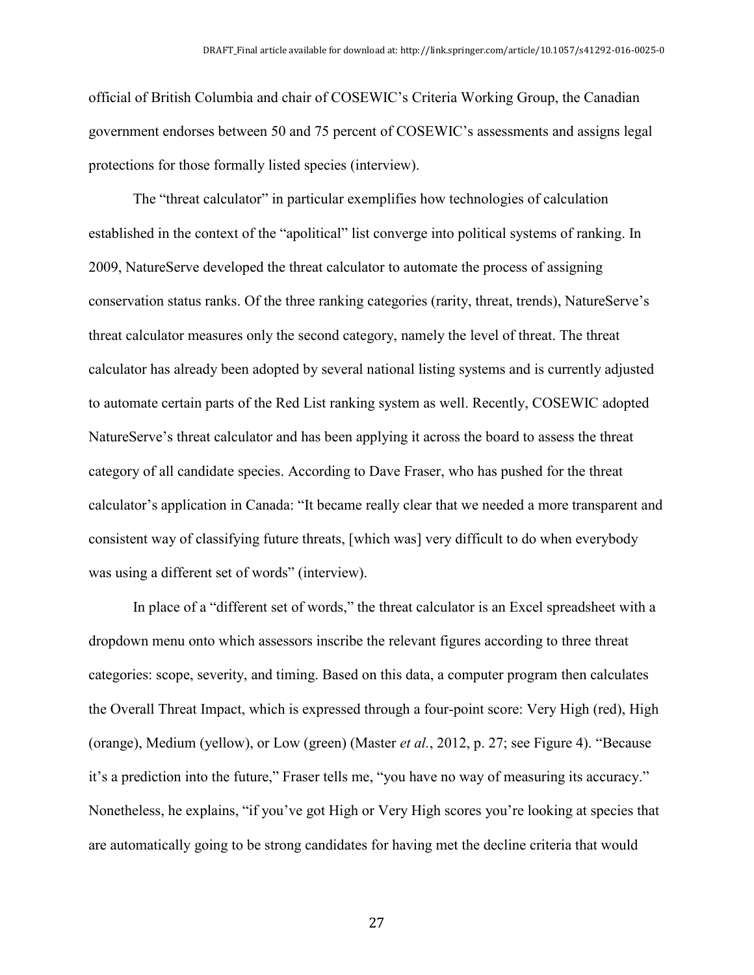official of British Columbia and chair of COSEWIC's Criteria Working Group, the Canadian government endorses between 50 and 75 percent of COSEWIC's assessments and assigns legal protections for those formally listed species (interview).

The "threat calculator" in particular exemplifies how technologies of calculation established in the context of the "apolitical" list converge into political systems of ranking. In 2009, NatureServe developed the threat calculator to automate the process of assigning conservation status ranks. Of the three ranking categories (rarity, threat, trends), NatureServe's threat calculator measures only the second category, namely the level of threat. The threat calculator has already been adopted by several national listing systems and is currently adjusted to automate certain parts of the Red List ranking system as well. Recently, COSEWIC adopted NatureServe's threat calculator and has been applying it across the board to assess the threat category of all candidate species. According to Dave Fraser, who has pushed for the threat calculator's application in Canada: "It became really clear that we needed a more transparent and consistent way of classifying future threats, [which was] very difficult to do when everybody was using a different set of words" (interview).

In place of a "different set of words," the threat calculator is an Excel spreadsheet with a dropdown menu onto which assessors inscribe the relevant figures according to three threat categories: scope, severity, and timing. Based on this data, a computer program then calculates the Overall Threat Impact, which is expressed through a four-point score: Very High (red), High (orange), Medium (yellow), or Low (green) (Master *et al.*, 2012, p. 27; see Figure 4). "Because it's a prediction into the future," Fraser tells me, "you have no way of measuring its accuracy." Nonetheless, he explains, "if you've got High or Very High scores you're looking at species that are automatically going to be strong candidates for having met the decline criteria that would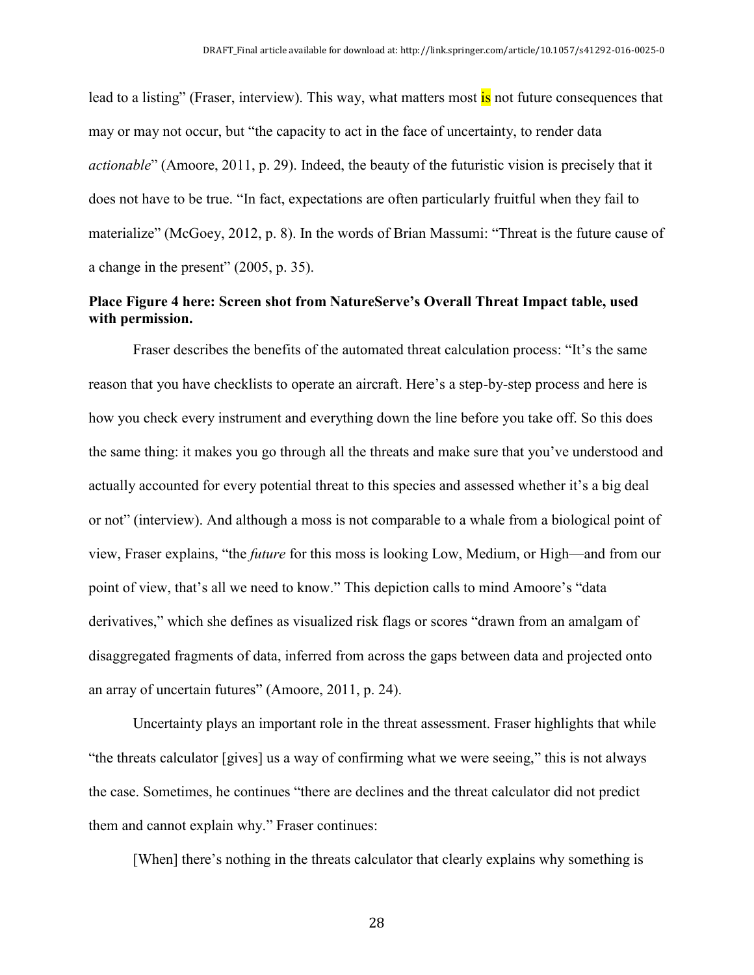lead to a listing" (Fraser, interview). This way, what matters most is not future consequences that may or may not occur, but "the capacity to act in the face of uncertainty, to render data *actionable*" (Amoore, 2011, p. 29). Indeed, the beauty of the futuristic vision is precisely that it does not have to be true. "In fact, expectations are often particularly fruitful when they fail to materialize" (McGoey, 2012, p. 8). In the words of Brian Massumi: "Threat is the future cause of a change in the present" (2005, p. 35).

### **Place Figure 4 here: Screen shot from NatureServe's Overall Threat Impact table, used with permission.**

Fraser describes the benefits of the automated threat calculation process: "It's the same reason that you have checklists to operate an aircraft. Here's a step-by-step process and here is how you check every instrument and everything down the line before you take off. So this does the same thing: it makes you go through all the threats and make sure that you've understood and actually accounted for every potential threat to this species and assessed whether it's a big deal or not" (interview). And although a moss is not comparable to a whale from a biological point of view, Fraser explains, "the *future* for this moss is looking Low, Medium, or High—and from our point of view, that's all we need to know." This depiction calls to mind Amoore's "data derivatives," which she defines as visualized risk flags or scores "drawn from an amalgam of disaggregated fragments of data, inferred from across the gaps between data and projected onto an array of uncertain futures" (Amoore, 2011, p. 24).

Uncertainty plays an important role in the threat assessment. Fraser highlights that while "the threats calculator [gives] us a way of confirming what we were seeing," this is not always the case. Sometimes, he continues "there are declines and the threat calculator did not predict them and cannot explain why." Fraser continues:

[When] there's nothing in the threats calculator that clearly explains why something is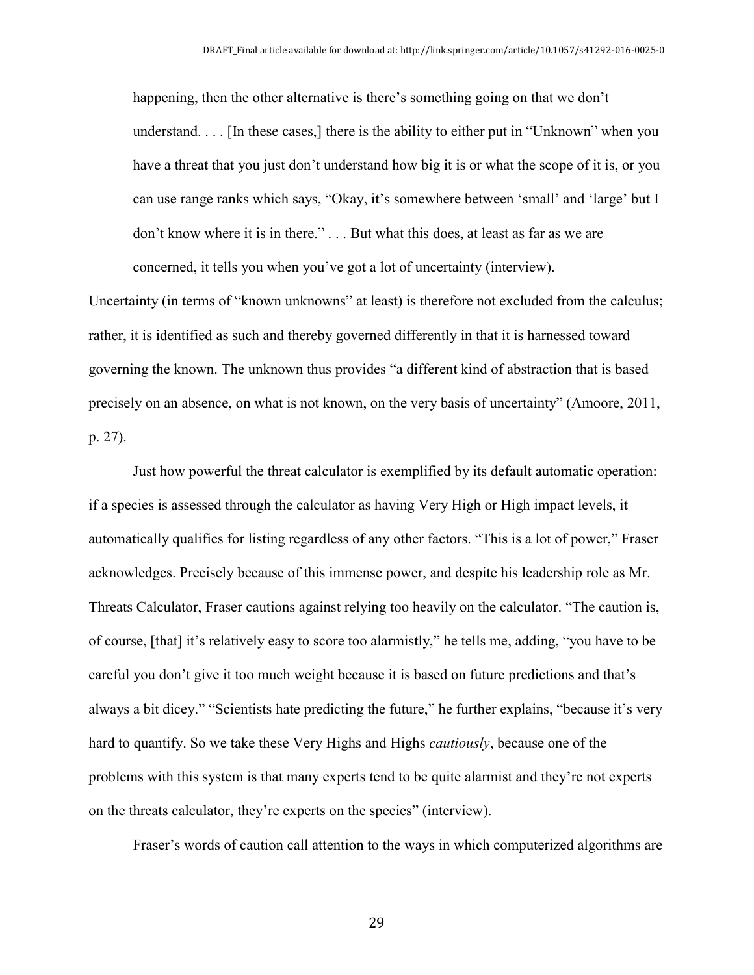happening, then the other alternative is there's something going on that we don't understand. . . . [In these cases,] there is the ability to either put in "Unknown" when you have a threat that you just don't understand how big it is or what the scope of it is, or you can use range ranks which says, "Okay, it's somewhere between 'small' and 'large' but I don't know where it is in there." . . . But what this does, at least as far as we are concerned, it tells you when you've got a lot of uncertainty (interview).

Uncertainty (in terms of "known unknowns" at least) is therefore not excluded from the calculus; rather, it is identified as such and thereby governed differently in that it is harnessed toward governing the known. The unknown thus provides "a different kind of abstraction that is based precisely on an absence, on what is not known, on the very basis of uncertainty" (Amoore, 2011, p. 27).

Just how powerful the threat calculator is exemplified by its default automatic operation: if a species is assessed through the calculator as having Very High or High impact levels, it automatically qualifies for listing regardless of any other factors. "This is a lot of power," Fraser acknowledges. Precisely because of this immense power, and despite his leadership role as Mr. Threats Calculator, Fraser cautions against relying too heavily on the calculator. "The caution is, of course, [that] it's relatively easy to score too alarmistly," he tells me, adding, "you have to be careful you don't give it too much weight because it is based on future predictions and that's always a bit dicey." "Scientists hate predicting the future," he further explains, "because it's very hard to quantify. So we take these Very Highs and Highs *cautiously*, because one of the problems with this system is that many experts tend to be quite alarmist and they're not experts on the threats calculator, they're experts on the species" (interview).

Fraser's words of caution call attention to the ways in which computerized algorithms are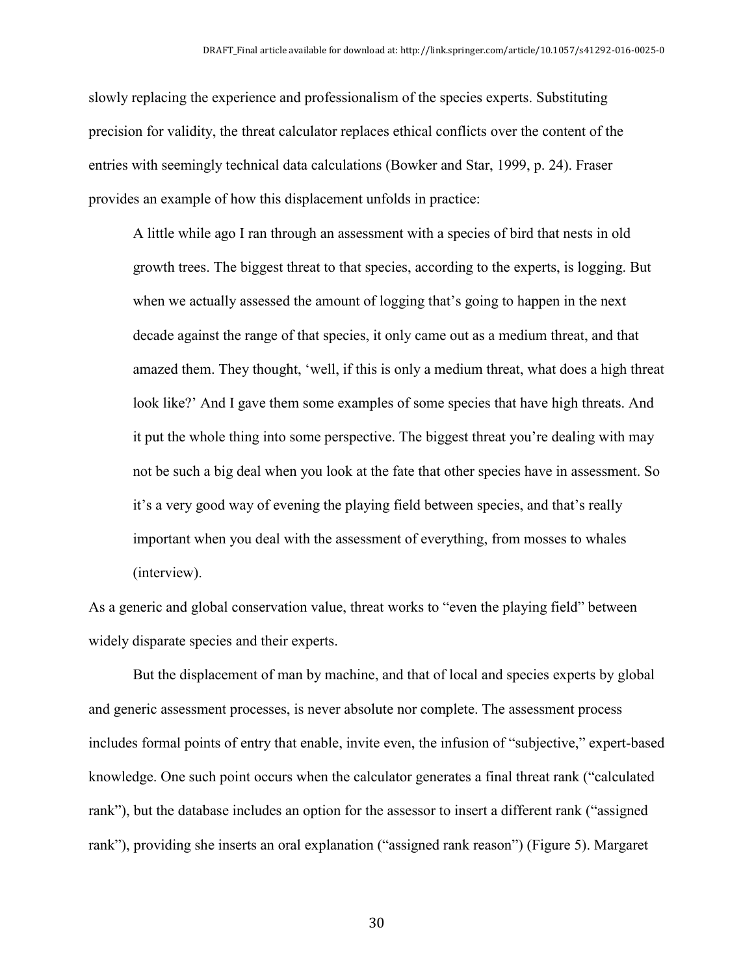slowly replacing the experience and professionalism of the species experts. Substituting precision for validity, the threat calculator replaces ethical conflicts over the content of the entries with seemingly technical data calculations (Bowker and Star, 1999, p. 24). Fraser provides an example of how this displacement unfolds in practice:

A little while ago I ran through an assessment with a species of bird that nests in old growth trees. The biggest threat to that species, according to the experts, is logging. But when we actually assessed the amount of logging that's going to happen in the next decade against the range of that species, it only came out as a medium threat, and that amazed them. They thought, 'well, if this is only a medium threat, what does a high threat look like?' And I gave them some examples of some species that have high threats. And it put the whole thing into some perspective. The biggest threat you're dealing with may not be such a big deal when you look at the fate that other species have in assessment. So it's a very good way of evening the playing field between species, and that's really important when you deal with the assessment of everything, from mosses to whales (interview).

As a generic and global conservation value, threat works to "even the playing field" between widely disparate species and their experts.

But the displacement of man by machine, and that of local and species experts by global and generic assessment processes, is never absolute nor complete. The assessment process includes formal points of entry that enable, invite even, the infusion of "subjective," expert-based knowledge. One such point occurs when the calculator generates a final threat rank ("calculated rank"), but the database includes an option for the assessor to insert a different rank ("assigned rank"), providing she inserts an oral explanation ("assigned rank reason") (Figure 5). Margaret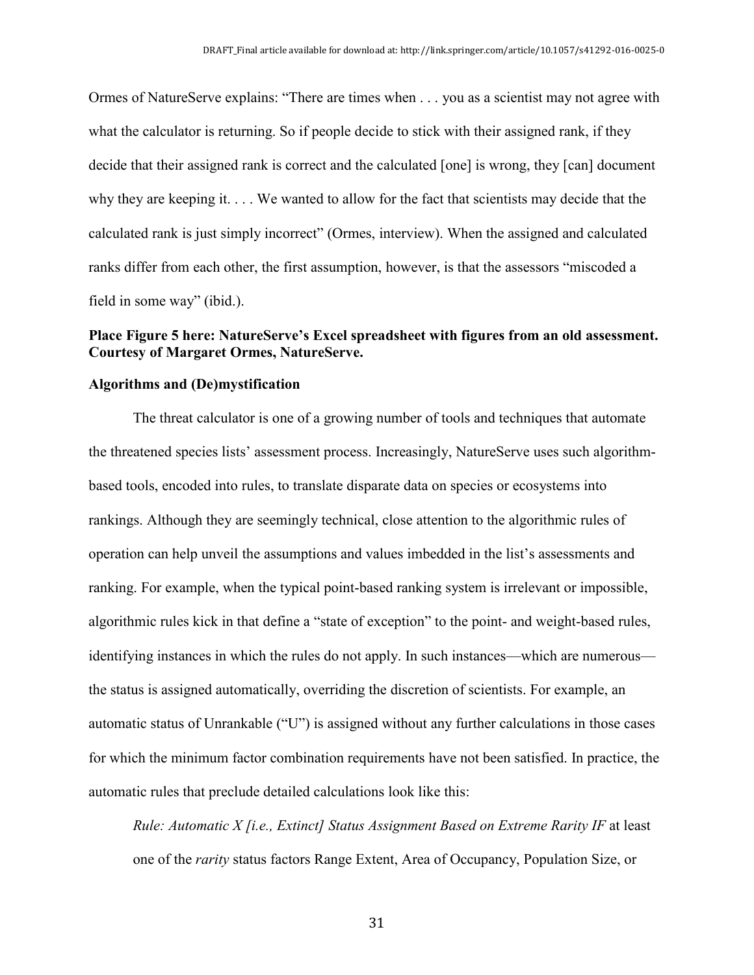Ormes of NatureServe explains: "There are times when . . . you as a scientist may not agree with what the calculator is returning. So if people decide to stick with their assigned rank, if they decide that their assigned rank is correct and the calculated [one] is wrong, they [can] document why they are keeping it. . . . We wanted to allow for the fact that scientists may decide that the calculated rank is just simply incorrect" (Ormes, interview). When the assigned and calculated ranks differ from each other, the first assumption, however, is that the assessors "miscoded a field in some way" (ibid.).

#### **Place Figure 5 here: NatureServe's Excel spreadsheet with figures from an old assessment. Courtesy of Margaret Ormes, NatureServe.**

#### **Algorithms and (De)mystification**

The threat calculator is one of a growing number of tools and techniques that automate the threatened species lists' assessment process. Increasingly, NatureServe uses such algorithmbased tools, encoded into rules, to translate disparate data on species or ecosystems into rankings. Although they are seemingly technical, close attention to the algorithmic rules of operation can help unveil the assumptions and values imbedded in the list's assessments and ranking. For example, when the typical point-based ranking system is irrelevant or impossible, algorithmic rules kick in that define a "state of exception" to the point- and weight-based rules, identifying instances in which the rules do not apply. In such instances—which are numerous the status is assigned automatically, overriding the discretion of scientists. For example, an automatic status of Unrankable ("U") is assigned without any further calculations in those cases for which the minimum factor combination requirements have not been satisfied. In practice, the automatic rules that preclude detailed calculations look like this:

*Rule: Automatic X [i.e., Extinct] Status Assignment Based on Extreme Rarity IF* at least one of the *rarity* status factors Range Extent, Area of Occupancy, Population Size, or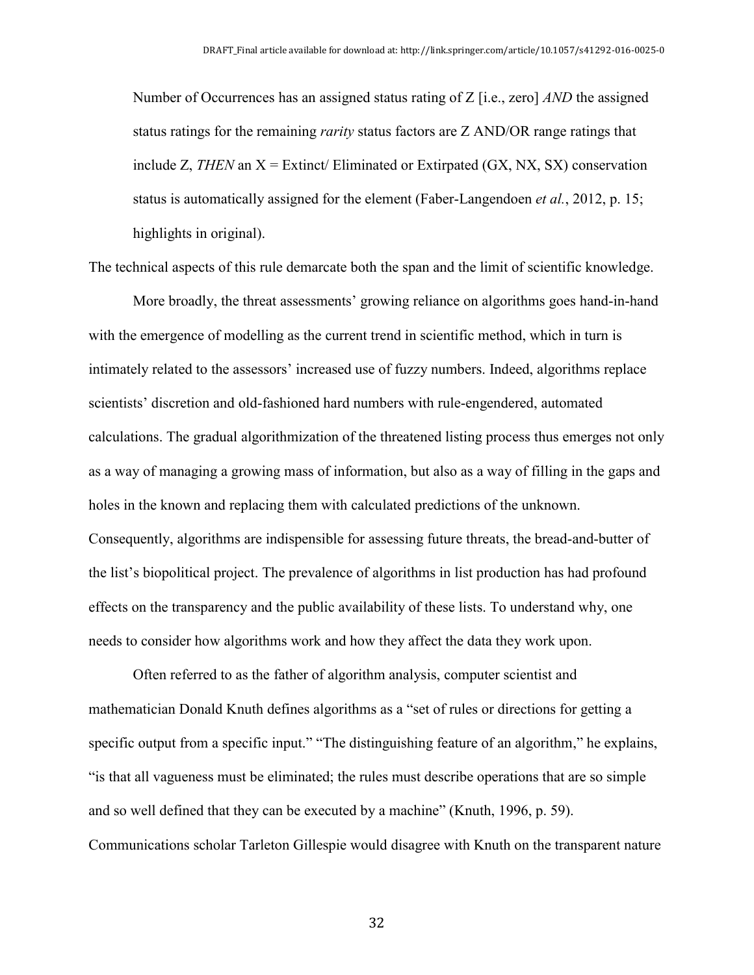Number of Occurrences has an assigned status rating of Z [i.e., zero] *AND* the assigned status ratings for the remaining *rarity* status factors are Z AND/OR range ratings that include Z, *THEN* an  $X =$  Extinct/ Eliminated or Extirpated (GX, NX, SX) conservation status is automatically assigned for the element (Faber-Langendoen *et al.*, 2012, p. 15; highlights in original).

The technical aspects of this rule demarcate both the span and the limit of scientific knowledge.

More broadly, the threat assessments' growing reliance on algorithms goes hand-in-hand with the emergence of modelling as the current trend in scientific method, which in turn is intimately related to the assessors' increased use of fuzzy numbers. Indeed, algorithms replace scientists' discretion and old-fashioned hard numbers with rule-engendered, automated calculations. The gradual algorithmization of the threatened listing process thus emerges not only as a way of managing a growing mass of information, but also as a way of filling in the gaps and holes in the known and replacing them with calculated predictions of the unknown. Consequently, algorithms are indispensible for assessing future threats, the bread-and-butter of the list's biopolitical project. The prevalence of algorithms in list production has had profound effects on the transparency and the public availability of these lists. To understand why, one needs to consider how algorithms work and how they affect the data they work upon.

Often referred to as the father of algorithm analysis, computer scientist and mathematician Donald Knuth defines algorithms as a "set of rules or directions for getting a specific output from a specific input." "The distinguishing feature of an algorithm," he explains, "is that all vagueness must be eliminated; the rules must describe operations that are so simple and so well defined that they can be executed by a machine" (Knuth, 1996, p. 59). Communications scholar Tarleton Gillespie would disagree with Knuth on the transparent nature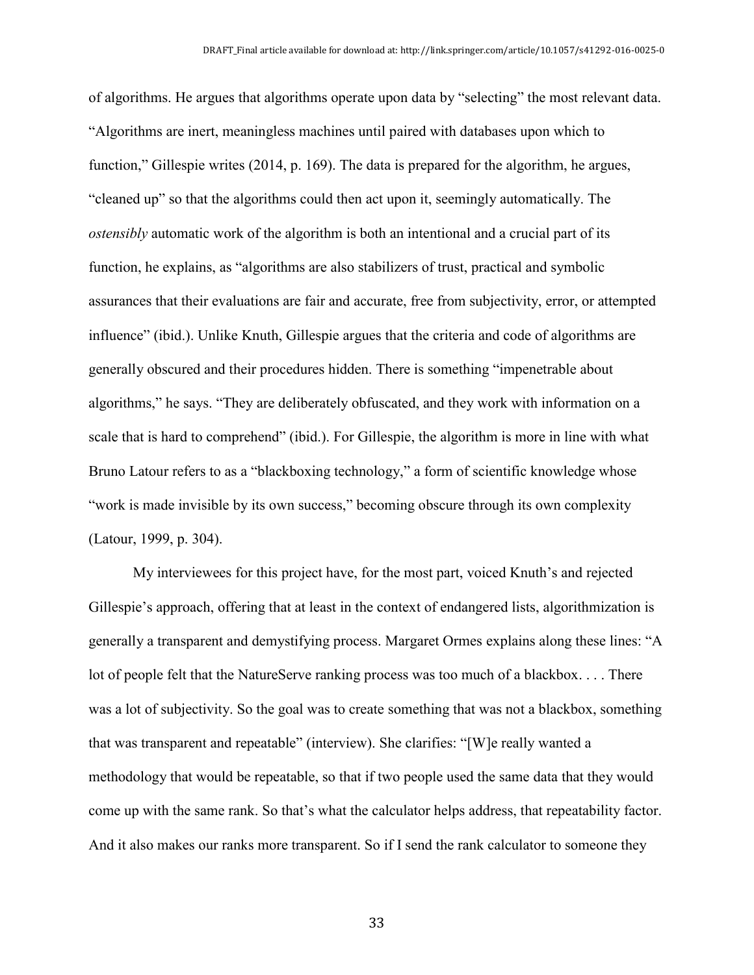of algorithms. He argues that algorithms operate upon data by "selecting" the most relevant data. "Algorithms are inert, meaningless machines until paired with databases upon which to function," Gillespie writes (2014, p. 169). The data is prepared for the algorithm, he argues, "cleaned up" so that the algorithms could then act upon it, seemingly automatically. The *ostensibly* automatic work of the algorithm is both an intentional and a crucial part of its function, he explains, as "algorithms are also stabilizers of trust, practical and symbolic assurances that their evaluations are fair and accurate, free from subjectivity, error, or attempted influence" (ibid.). Unlike Knuth, Gillespie argues that the criteria and code of algorithms are generally obscured and their procedures hidden. There is something "impenetrable about algorithms," he says. "They are deliberately obfuscated, and they work with information on a scale that is hard to comprehend" (ibid.). For Gillespie, the algorithm is more in line with what Bruno Latour refers to as a "blackboxing technology," a form of scientific knowledge whose "work is made invisible by its own success," becoming obscure through its own complexity (Latour, 1999, p. 304).

My interviewees for this project have, for the most part, voiced Knuth's and rejected Gillespie's approach, offering that at least in the context of endangered lists, algorithmization is generally a transparent and demystifying process. Margaret Ormes explains along these lines: "A lot of people felt that the NatureServe ranking process was too much of a blackbox. . . . There was a lot of subjectivity. So the goal was to create something that was not a blackbox, something that was transparent and repeatable" (interview). She clarifies: "[W]e really wanted a methodology that would be repeatable, so that if two people used the same data that they would come up with the same rank. So that's what the calculator helps address, that repeatability factor. And it also makes our ranks more transparent. So if I send the rank calculator to someone they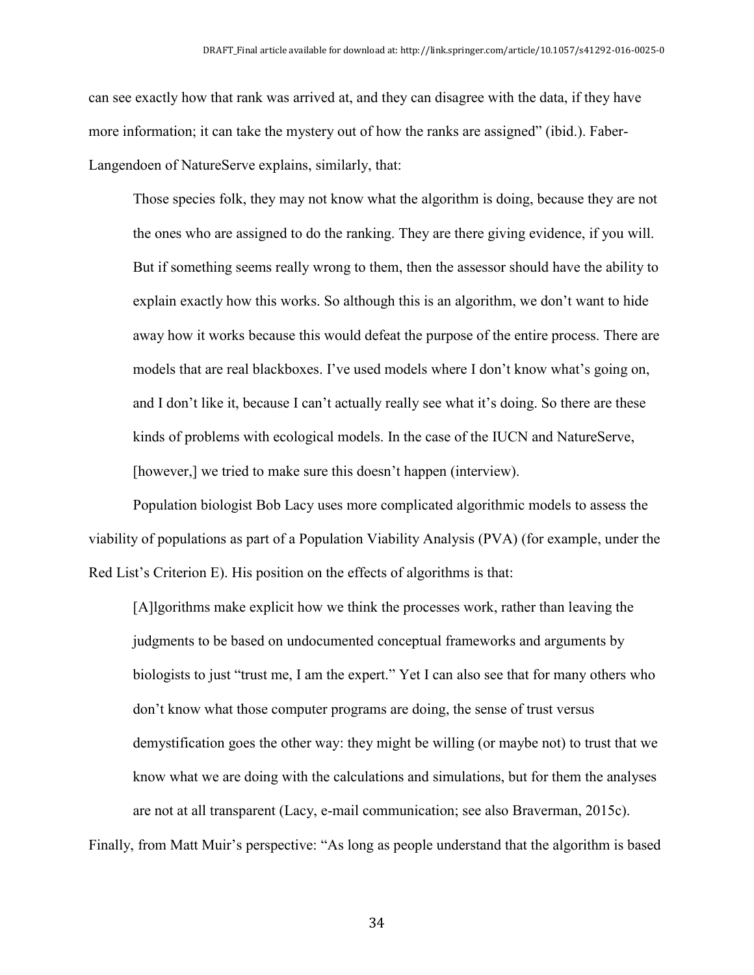can see exactly how that rank was arrived at, and they can disagree with the data, if they have more information; it can take the mystery out of how the ranks are assigned" (ibid.). Faber-Langendoen of NatureServe explains, similarly, that:

Those species folk, they may not know what the algorithm is doing, because they are not the ones who are assigned to do the ranking. They are there giving evidence, if you will. But if something seems really wrong to them, then the assessor should have the ability to explain exactly how this works. So although this is an algorithm, we don't want to hide away how it works because this would defeat the purpose of the entire process. There are models that are real blackboxes. I've used models where I don't know what's going on, and I don't like it, because I can't actually really see what it's doing. So there are these kinds of problems with ecological models. In the case of the IUCN and NatureServe, [however,] we tried to make sure this doesn't happen (interview).

Population biologist Bob Lacy uses more complicated algorithmic models to assess the viability of populations as part of a Population Viability Analysis (PVA) (for example, under the Red List's Criterion E). His position on the effects of algorithms is that:

[A]lgorithms make explicit how we think the processes work, rather than leaving the judgments to be based on undocumented conceptual frameworks and arguments by biologists to just "trust me, I am the expert." Yet I can also see that for many others who don't know what those computer programs are doing, the sense of trust versus demystification goes the other way: they might be willing (or maybe not) to trust that we know what we are doing with the calculations and simulations, but for them the analyses are not at all transparent (Lacy, e-mail communication; see also Braverman, 2015c).

Finally, from Matt Muir's perspective: "As long as people understand that the algorithm is based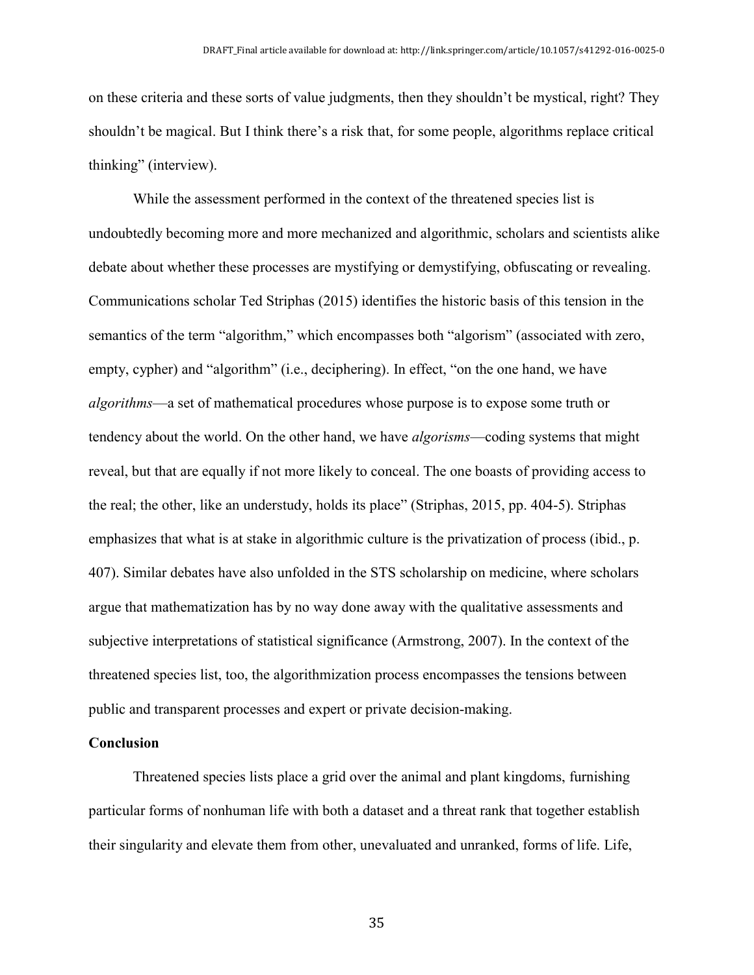on these criteria and these sorts of value judgments, then they shouldn't be mystical, right? They shouldn't be magical. But I think there's a risk that, for some people, algorithms replace critical thinking" (interview).

While the assessment performed in the context of the threatened species list is undoubtedly becoming more and more mechanized and algorithmic, scholars and scientists alike debate about whether these processes are mystifying or demystifying, obfuscating or revealing. Communications scholar Ted Striphas (2015) identifies the historic basis of this tension in the semantics of the term "algorithm," which encompasses both "algorism" (associated with zero, empty, cypher) and "algorithm" (i.e., deciphering). In effect, "on the one hand, we have *algorithms*—a set of mathematical procedures whose purpose is to expose some truth or tendency about the world. On the other hand, we have *algorisms*—coding systems that might reveal, but that are equally if not more likely to conceal. The one boasts of providing access to the real; the other, like an understudy, holds its place" (Striphas, 2015, pp. 404-5). Striphas emphasizes that what is at stake in algorithmic culture is the privatization of process (ibid., p. 407). Similar debates have also unfolded in the STS scholarship on medicine, where scholars argue that mathematization has by no way done away with the qualitative assessments and subjective interpretations of statistical significance (Armstrong, 2007). In the context of the threatened species list, too, the algorithmization process encompasses the tensions between public and transparent processes and expert or private decision-making.

#### **Conclusion**

Threatened species lists place a grid over the animal and plant kingdoms, furnishing particular forms of nonhuman life with both a dataset and a threat rank that together establish their singularity and elevate them from other, unevaluated and unranked, forms of life. Life,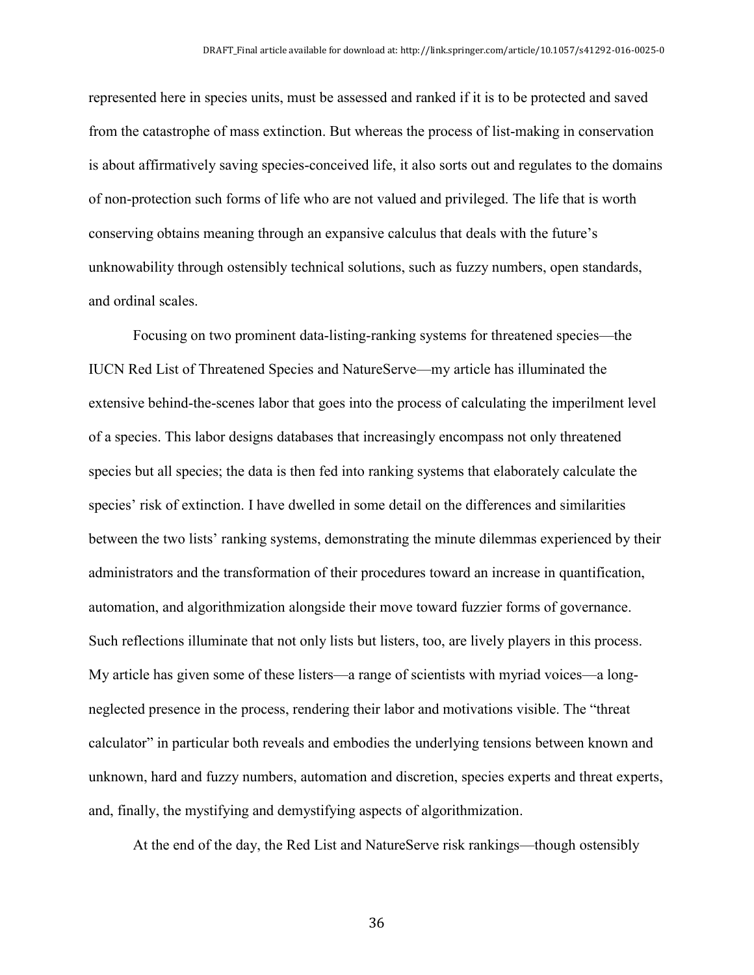represented here in species units, must be assessed and ranked if it is to be protected and saved from the catastrophe of mass extinction. But whereas the process of list-making in conservation is about affirmatively saving species-conceived life, it also sorts out and regulates to the domains of non-protection such forms of life who are not valued and privileged. The life that is worth conserving obtains meaning through an expansive calculus that deals with the future's unknowability through ostensibly technical solutions, such as fuzzy numbers, open standards, and ordinal scales.

Focusing on two prominent data-listing-ranking systems for threatened species—the IUCN Red List of Threatened Species and NatureServe—my article has illuminated the extensive behind-the-scenes labor that goes into the process of calculating the imperilment level of a species. This labor designs databases that increasingly encompass not only threatened species but all species; the data is then fed into ranking systems that elaborately calculate the species' risk of extinction. I have dwelled in some detail on the differences and similarities between the two lists' ranking systems, demonstrating the minute dilemmas experienced by their administrators and the transformation of their procedures toward an increase in quantification, automation, and algorithmization alongside their move toward fuzzier forms of governance. Such reflections illuminate that not only lists but listers, too, are lively players in this process. My article has given some of these listers—a range of scientists with myriad voices—a longneglected presence in the process, rendering their labor and motivations visible. The "threat calculator" in particular both reveals and embodies the underlying tensions between known and unknown, hard and fuzzy numbers, automation and discretion, species experts and threat experts, and, finally, the mystifying and demystifying aspects of algorithmization.

At the end of the day, the Red List and NatureServe risk rankings—though ostensibly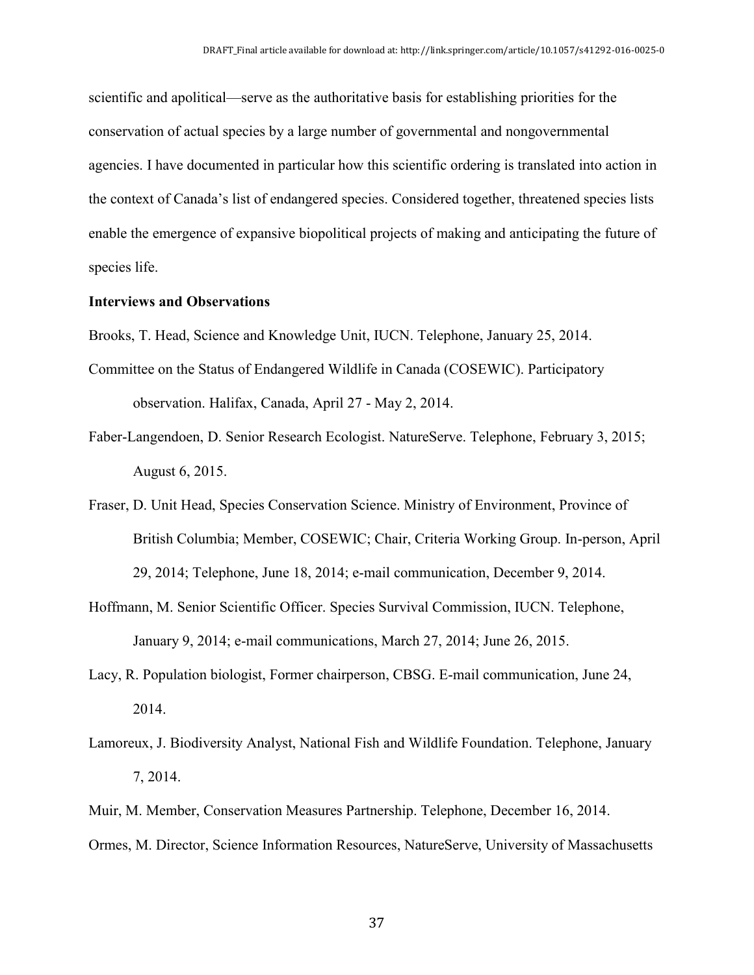scientific and apolitical—serve as the authoritative basis for establishing priorities for the conservation of actual species by a large number of governmental and nongovernmental agencies. I have documented in particular how this scientific ordering is translated into action in the context of Canada's list of endangered species. Considered together, threatened species lists enable the emergence of expansive biopolitical projects of making and anticipating the future of species life.

#### **Interviews and Observations**

- Brooks, T. Head, Science and Knowledge Unit, IUCN. Telephone, January 25, 2014.
- Committee on the Status of Endangered Wildlife in Canada (COSEWIC). Participatory observation. Halifax, Canada, April 27 - May 2, 2014.
- Faber-Langendoen, D. Senior Research Ecologist. NatureServe. Telephone, February 3, 2015; August 6, 2015.
- Fraser, D. Unit Head, Species Conservation Science. Ministry of Environment, Province of British Columbia; Member, COSEWIC; Chair, Criteria Working Group. In-person, April 29, 2014; Telephone, June 18, 2014; e-mail communication, December 9, 2014.
- Hoffmann, M. Senior Scientific Officer. Species Survival Commission, IUCN. Telephone, January 9, 2014; e-mail communications, March 27, 2014; June 26, 2015.
- Lacy, R. Population biologist, Former chairperson, CBSG. E-mail communication, June 24, 2014.
- Lamoreux, J. Biodiversity Analyst, National Fish and Wildlife Foundation. Telephone, January 7, 2014.
- Muir, M. Member, Conservation Measures Partnership. Telephone, December 16, 2014.
- Ormes, M. Director, Science Information Resources, NatureServe, University of Massachusetts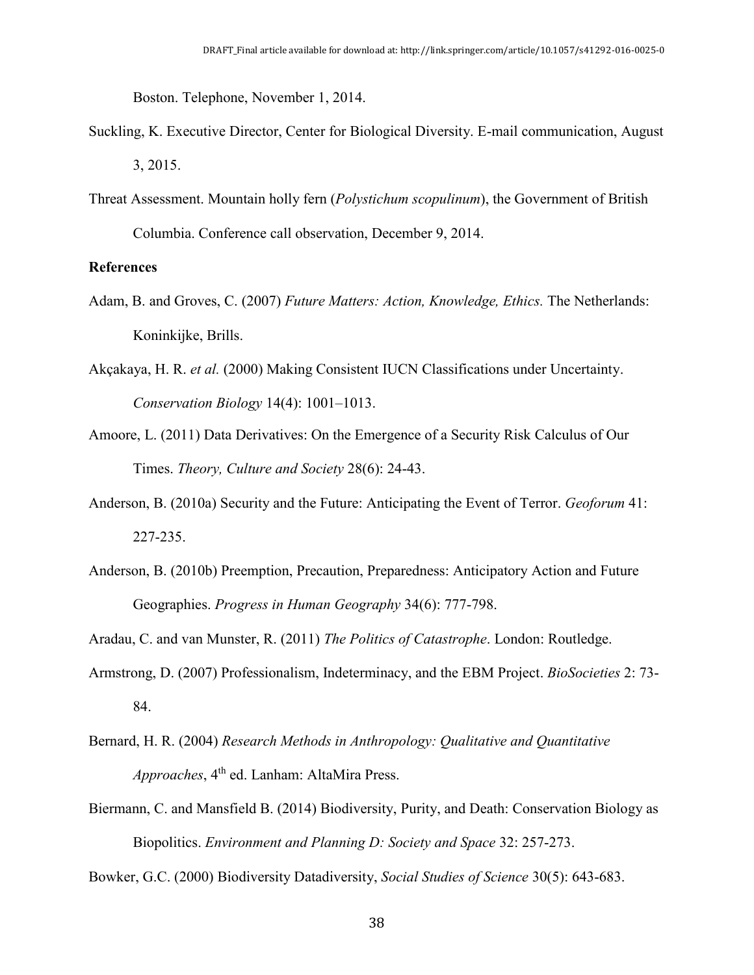Boston. Telephone, November 1, 2014.

- Suckling, K. Executive Director, Center for Biological Diversity. E-mail communication, August 3, 2015.
- Threat Assessment. Mountain holly fern (*Polystichum scopulinum*), the Government of British Columbia. Conference call observation, December 9, 2014.

#### **References**

- Adam, B. and Groves, C. (2007) *Future Matters: Action, Knowledge, Ethics.* The Netherlands: Koninkijke, Brills.
- Akçakaya, H. R. *et al.* (2000) Making Consistent IUCN Classifications under Uncertainty. *Conservation Biology* 14(4): 1001–1013.
- Amoore, L. (2011) Data Derivatives: On the Emergence of a Security Risk Calculus of Our Times. *Theory, Culture and Society* 28(6): 24-43.
- Anderson, B. (2010a) Security and the Future: Anticipating the Event of Terror. *Geoforum* 41: 227-235.
- Anderson, B. (2010b) Preemption, Precaution, Preparedness: Anticipatory Action and Future Geographies. *Progress in Human Geography* 34(6): 777-798.
- Aradau, C. and van Munster, R. (2011) *The Politics of Catastrophe*. London: Routledge.
- Armstrong, D. (2007) Professionalism, Indeterminacy, and the EBM Project. *BioSocieties* 2: 73- 84.
- Bernard, H. R. (2004) *Research Methods in Anthropology: Qualitative and Quantitative Approaches*, 4th ed. Lanham: AltaMira Press.
- Biermann, C. and Mansfield B. (2014) Biodiversity, Purity, and Death: Conservation Biology as Biopolitics. *Environment and Planning D: Society and Space* 32: 257-273.

Bowker, G.C. (2000) Biodiversity Datadiversity, *Social Studies of Science* 30(5): 643-683.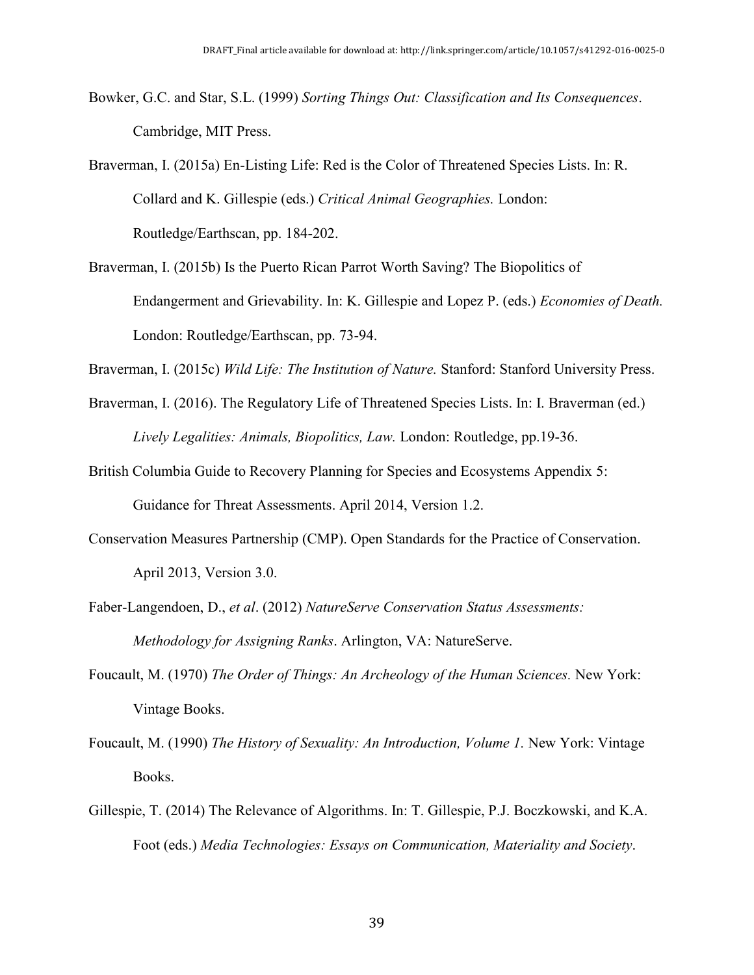- Bowker, G.C. and Star, S.L. (1999) *Sorting Things Out: Classification and Its Consequences*. Cambridge, MIT Press.
- Braverman, I. (2015a) En-Listing Life: Red is the Color of Threatened Species Lists. In: R. Collard and K. Gillespie (eds.) *Critical Animal Geographies.* London: Routledge/Earthscan, pp. 184-202.
- Braverman, I. (2015b) Is the Puerto Rican Parrot Worth Saving? The Biopolitics of Endangerment and Grievability. In: K. Gillespie and Lopez P. (eds.) *Economies of Death.* London: Routledge/Earthscan, pp. 73-94.

Braverman, I. (2015c) *Wild Life: The Institution of Nature.* Stanford: Stanford University Press.

- Braverman, I. (2016). The Regulatory Life of Threatened Species Lists. In: I. Braverman (ed.) *Lively Legalities: Animals, Biopolitics, Law.* London: Routledge, pp.19-36.
- British Columbia Guide to Recovery Planning for Species and Ecosystems Appendix 5: Guidance for Threat Assessments. April 2014, Version 1.2.
- Conservation Measures Partnership (CMP). Open Standards for the Practice of Conservation. April 2013, Version 3.0.
- Faber-Langendoen, D., *et al*. (2012) *NatureServe Conservation Status Assessments: Methodology for Assigning Ranks*. Arlington, VA: NatureServe.
- Foucault, M. (1970) *The Order of Things: An Archeology of the Human Sciences.* New York: Vintage Books.
- Foucault, M. (1990) *The History of Sexuality: An Introduction, Volume 1.* New York: Vintage Books.
- Gillespie, T. (2014) The Relevance of Algorithms. In: T. Gillespie, P.J. Boczkowski, and K.A. Foot (eds.) *Media Technologies: Essays on Communication, Materiality and Society*.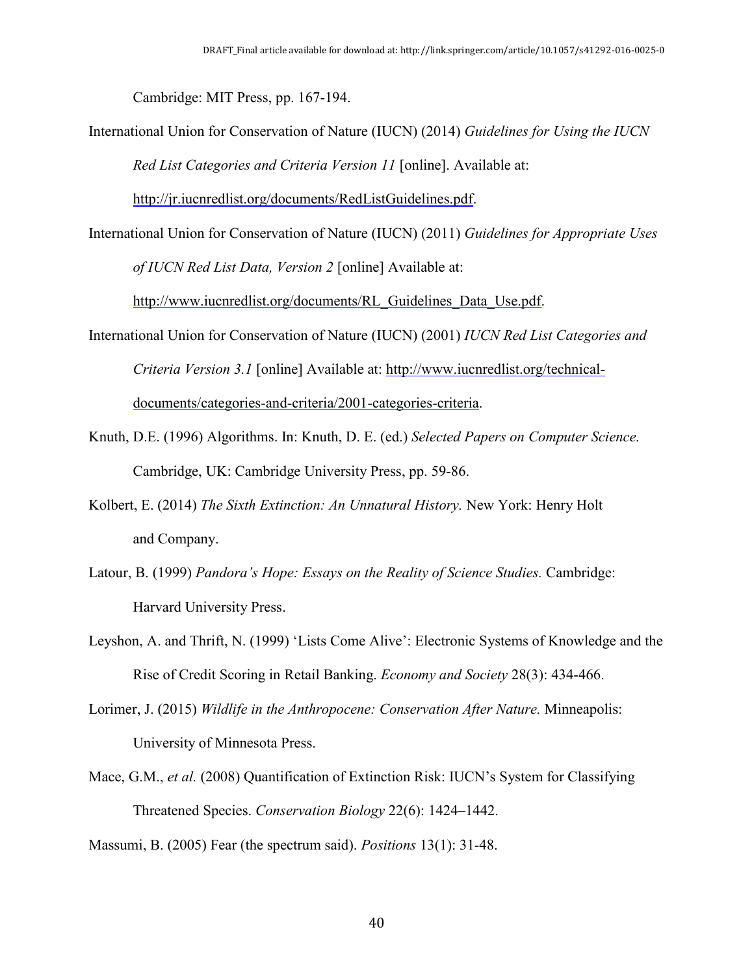Cambridge: MIT Press, pp. 167-194.

International Union for Conservation of Nature (IUCN) (2014) *Guidelines for Using the IUCN Red List Categories and Criteria Version 11* [online]. Available at:

http://jr.iucnredlist.org/documents/RedListGuidelines.pdf.

International Union for Conservation of Nature (IUCN) (2011) *Guidelines for Appropriate Uses of IUCN Red List Data, Version 2* [online] Available at:

http://www.iucnredlist.org/documents/RL Guidelines Data Use.pdf.

- International Union for Conservation of Nature (IUCN) (2001) *IUCN Red List Categories and Criteria Version 3.1* [online] Available at: http://www.iucnredlist.org/technicaldocuments/categories-and-criteria/2001-categories-criteria.
- Knuth, D.E. (1996) Algorithms. In: Knuth, D. E. (ed.) *Selected Papers on Computer Science.* Cambridge, UK: Cambridge University Press, pp. 59-86.
- Kolbert, E. (2014) *The Sixth Extinction: An Unnatural History.* New York: Henry Holt and Company.
- Latour, B. (1999) *Pandora's Hope: Essays on the Reality of Science Studies.* Cambridge: Harvard University Press.
- Leyshon, A. and Thrift, N. (1999) 'Lists Come Alive': Electronic Systems of Knowledge and the Rise of Credit Scoring in Retail Banking. *Economy and Society* 28(3): 434-466.
- Lorimer, J. (2015) *Wildlife in the Anthropocene: Conservation After Nature.* Minneapolis: University of Minnesota Press.
- Mace, G.M., *et al.* (2008) Quantification of Extinction Risk: IUCN's System for Classifying Threatened Species. *Conservation Biology* 22(6): 1424–1442.

Massumi, B. (2005) Fear (the spectrum said). *Positions* 13(1): 31-48.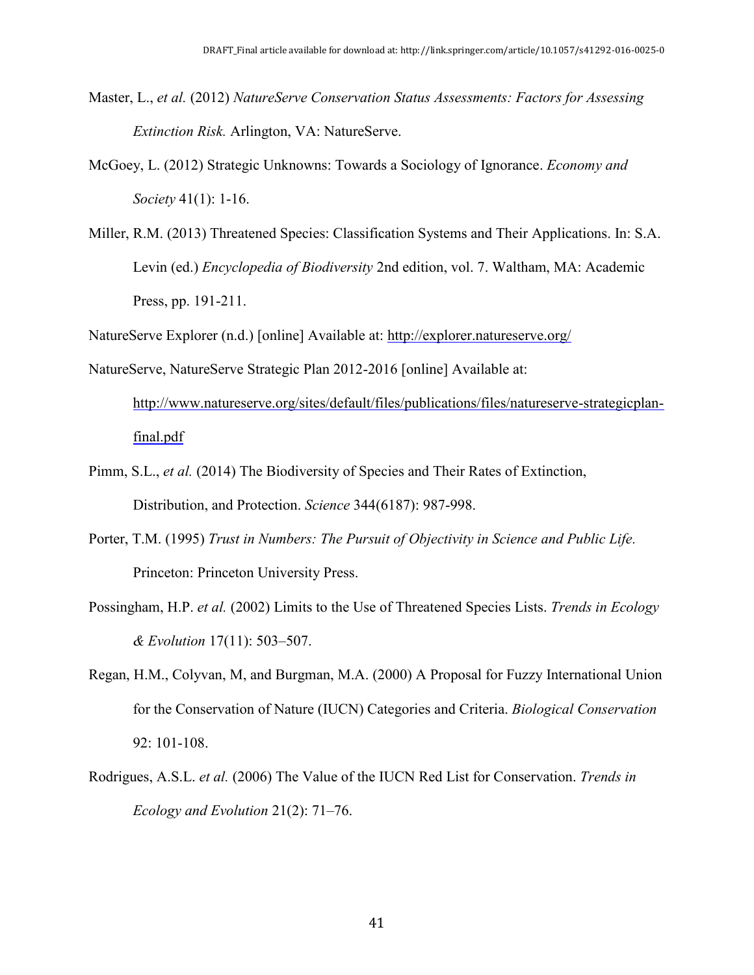- Master, L., *et al.* (2012) *NatureServe Conservation Status Assessments: Factors for Assessing Extinction Risk.* Arlington, VA: NatureServe.
- McGoey, L. (2012) Strategic Unknowns: Towards a Sociology of Ignorance. *Economy and Society* 41(1): 1-16.
- Miller, R.M. (2013) Threatened Species: Classification Systems and Their Applications. In: S.A. Levin (ed.) *Encyclopedia of Biodiversity* 2nd edition, vol. 7. Waltham, MA: Academic Press, pp. 191-211.

NatureServe Explorer (n.d.) [online] Available at: http://explorer.natureserve.org/

- NatureServe, NatureServe Strategic Plan 2012-2016 [online] Available at: http://www.natureserve.org/sites/default/files/publications/files/natureserve-strategicplanfinal.pdf
- Pimm, S.L., *et al.* (2014) The Biodiversity of Species and Their Rates of Extinction, Distribution, and Protection. *Science* 344(6187): 987-998.
- Porter, T.M. (1995) *Trust in Numbers: The Pursuit of Objectivity in Science and Public Life.* Princeton: Princeton University Press.
- Possingham, H.P. *et al.* (2002) Limits to the Use of Threatened Species Lists. *Trends in Ecology & Evolution* 17(11): 503–507.
- Regan, H.M., Colyvan, M, and Burgman, M.A. (2000) A Proposal for Fuzzy International Union for the Conservation of Nature (IUCN) Categories and Criteria. *Biological Conservation*  92: 101-108.
- Rodrigues, A.S.L. *et al.* (2006) The Value of the IUCN Red List for Conservation. *Trends in Ecology and Evolution* 21(2): 71–76.